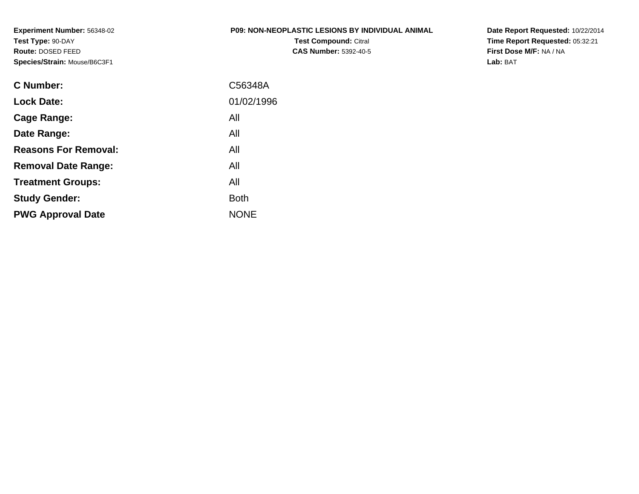**Experiment Number:** 56348-02**Test Type:** 90-DAY **Route:** DOSED FEED**Species/Strain:** Mouse/B6C3F1

# **P09: NON-NEOPLASTIC LESIONS BY INDIVIDUAL ANIMAL**

**Test Compound:** Citral **CAS Number:** 5392-40-5 **Date Report Requested:** 10/22/2014 **Time Report Requested:** 05:32:21**First Dose M/F:** NA / NA**Lab:** BAT

| <b>C</b> Number:            | C56348A     |
|-----------------------------|-------------|
| <b>Lock Date:</b>           | 01/02/1996  |
| Cage Range:                 | All         |
| Date Range:                 | All         |
| <b>Reasons For Removal:</b> | All         |
| <b>Removal Date Range:</b>  | All         |
| <b>Treatment Groups:</b>    | All         |
| <b>Study Gender:</b>        | <b>Both</b> |
| <b>PWG Approval Date</b>    | <b>NONE</b> |
|                             |             |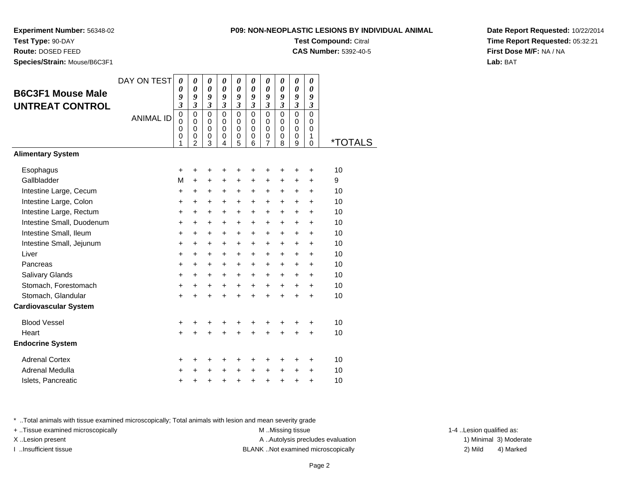**P09: NON-NEOPLASTIC LESIONS BY INDIVIDUAL ANIMALTest Compound:** Citral

**CAS Number:** 5392-40-5

**Experiment Number:** 56348-02

**Test Type:** 90-DAY**Route:** DOSED FEED

**Species/Strain:** Mouse/B6C3F1

| Date Report Requested: 10/22/2014 |
|-----------------------------------|
| Time Report Requested: 05:32:21   |
| First Dose M/F: NA / NA           |
| Lab: BAT                          |

| <b>B6C3F1 Mouse Male</b><br><b>UNTREAT CONTROL</b> | DAY ON TEST<br><b>ANIMAL ID</b> | 0<br>0<br>9<br>$\overline{\mathbf{3}}$<br>$\mathbf 0$<br>$\mathbf 0$<br>0 | 0<br>$\boldsymbol{\theta}$<br>9<br>$\mathfrak{z}$<br>$\mathbf 0$<br>$\Omega$<br>$\mathbf 0$ | 0<br>0<br>9<br>$\boldsymbol{\beta}$<br>$\mathbf 0$<br>0<br>0 | 0<br>0<br>9<br>$\boldsymbol{\beta}$<br>$\Omega$<br>$\Omega$<br>$\mathbf 0$ | 0<br>0<br>9<br>$\boldsymbol{\beta}$<br>$\mathbf 0$<br>0<br>$\mathbf 0$ | 0<br>0<br>9<br>$\boldsymbol{\beta}$<br>$\Omega$<br>$\Omega$<br>$\mathbf 0$ | 0<br>0<br>9<br>$\boldsymbol{\beta}$<br>$\Omega$<br>0<br>$\mathbf 0$ | 0<br>0<br>9<br>$\boldsymbol{\beta}$<br>$\Omega$<br>$\Omega$<br>$\mathbf 0$ | 0<br>0<br>9<br>$\boldsymbol{\beta}$<br>$\Omega$<br>0<br>$\mathbf 0$ | 0<br>0<br>9<br>$\boldsymbol{\beta}$<br>$\mathbf 0$<br>0<br>$\mathbf 0$ |                       |
|----------------------------------------------------|---------------------------------|---------------------------------------------------------------------------|---------------------------------------------------------------------------------------------|--------------------------------------------------------------|----------------------------------------------------------------------------|------------------------------------------------------------------------|----------------------------------------------------------------------------|---------------------------------------------------------------------|----------------------------------------------------------------------------|---------------------------------------------------------------------|------------------------------------------------------------------------|-----------------------|
|                                                    |                                 | 0<br>1                                                                    | 0<br>$\overline{2}$                                                                         | 0<br>3                                                       | 0<br>4                                                                     | 0<br>5                                                                 | 0<br>6                                                                     | 0<br>$\overline{7}$                                                 | 0<br>8                                                                     | 0<br>9                                                              | 1<br>$\mathbf 0$                                                       | <i><b>*TOTALS</b></i> |
| <b>Alimentary System</b>                           |                                 |                                                                           |                                                                                             |                                                              |                                                                            |                                                                        |                                                                            |                                                                     |                                                                            |                                                                     |                                                                        |                       |
| Esophagus                                          |                                 | +                                                                         | +                                                                                           | +                                                            | +                                                                          | +                                                                      | +                                                                          | +                                                                   | +                                                                          | +                                                                   | +                                                                      | 10                    |
| Gallbladder                                        |                                 | M                                                                         | $\ddot{}$                                                                                   | $\ddot{}$                                                    | +                                                                          | +                                                                      | +                                                                          | +                                                                   | +                                                                          | +                                                                   | +                                                                      | 9                     |
| Intestine Large, Cecum                             |                                 | +                                                                         | +                                                                                           | +                                                            | +                                                                          | +                                                                      | +                                                                          | +                                                                   | +                                                                          | +                                                                   | $\ddot{}$                                                              | 10                    |
| Intestine Large, Colon                             |                                 | $\ddot{}$                                                                 | $\ddot{}$                                                                                   | +                                                            | +                                                                          | $\ddot{}$                                                              | $\ddot{}$                                                                  | $\ddot{}$                                                           | $\ddot{}$                                                                  | $\ddot{}$                                                           | $\ddot{}$                                                              | 10                    |
| Intestine Large, Rectum                            |                                 | $\ddot{}$                                                                 | $\ddot{}$                                                                                   | $\ddot{}$                                                    | $\ddot{}$                                                                  | $\ddot{}$                                                              | $\ddot{}$                                                                  | $\ddot{}$                                                           | $\ddot{}$                                                                  | $\ddot{}$                                                           | $\ddot{}$                                                              | 10                    |
| Intestine Small, Duodenum                          |                                 | $\ddot{}$                                                                 | $\ddot{}$                                                                                   | $\ddot{}$                                                    | $\ddot{}$                                                                  | $\ddot{}$                                                              | $\ddot{}$                                                                  | $\ddot{}$                                                           | $\ddot{}$                                                                  | $\ddot{}$                                                           | $\ddot{}$                                                              | 10                    |
| Intestine Small, Ileum                             |                                 | $\ddot{}$                                                                 | $\ddot{}$                                                                                   | +                                                            | +                                                                          | +                                                                      | +                                                                          | +                                                                   | +                                                                          | $\ddot{}$                                                           | $\ddot{}$                                                              | 10                    |
| Intestine Small, Jejunum                           |                                 | +                                                                         | +                                                                                           | +                                                            | +                                                                          | +                                                                      | +                                                                          | $\ddot{}$                                                           | +                                                                          | +                                                                   | +                                                                      | 10                    |
| Liver                                              |                                 | $\ddot{}$                                                                 | $\ddot{}$                                                                                   | +                                                            | $\ddot{}$                                                                  | +                                                                      | $\ddot{}$                                                                  | +                                                                   | $\ddot{}$                                                                  | $\ddot{}$                                                           | $\ddot{}$                                                              | 10                    |
| Pancreas                                           |                                 | $\ddot{}$                                                                 | +                                                                                           | +                                                            | +                                                                          | +                                                                      | +                                                                          | +                                                                   | +                                                                          | +                                                                   | +                                                                      | 10                    |
| Salivary Glands                                    |                                 | $\ddot{}$                                                                 | $\ddot{}$                                                                                   | +                                                            | $\ddot{}$                                                                  | +                                                                      | $\ddot{}$                                                                  | +                                                                   | $\ddot{}$                                                                  | $\ddot{}$                                                           | $\ddot{}$                                                              | 10                    |
| Stomach, Forestomach                               |                                 | +                                                                         | $\ddot{}$                                                                                   | +                                                            | +                                                                          | +                                                                      | $\ddot{}$                                                                  | $\ddot{}$                                                           | $\ddot{}$                                                                  | +                                                                   | $\ddot{}$                                                              | 10                    |
| Stomach, Glandular                                 |                                 | $\ddot{}$                                                                 |                                                                                             | $\ddot{}$                                                    | $\ddot{}$                                                                  | $\ddot{}$                                                              | $\ddot{}$                                                                  | $\ddot{}$                                                           | $\ddot{}$                                                                  | $\ddot{}$                                                           | $\ddot{}$                                                              | 10                    |
| Cardiovascular System                              |                                 |                                                                           |                                                                                             |                                                              |                                                                            |                                                                        |                                                                            |                                                                     |                                                                            |                                                                     |                                                                        |                       |
| <b>Blood Vessel</b>                                |                                 | +                                                                         | +                                                                                           | +                                                            | +                                                                          | +                                                                      | +                                                                          | +                                                                   | +                                                                          | +                                                                   | +                                                                      | 10                    |
| Heart                                              |                                 | $\ddot{}$                                                                 |                                                                                             | $\ddot{}$                                                    | $\ddot{}$                                                                  | $\ddot{}$                                                              | $\ddot{}$                                                                  | $\ddot{}$                                                           | $\ddot{}$                                                                  | $\ddot{}$                                                           | $\ddot{}$                                                              | 10                    |
| <b>Endocrine System</b>                            |                                 |                                                                           |                                                                                             |                                                              |                                                                            |                                                                        |                                                                            |                                                                     |                                                                            |                                                                     |                                                                        |                       |
| <b>Adrenal Cortex</b>                              |                                 | +                                                                         | +                                                                                           | +                                                            | +                                                                          | +                                                                      | +                                                                          | +                                                                   | +                                                                          | +                                                                   | +                                                                      | 10                    |
| Adrenal Medulla                                    |                                 | $\ddot{}$                                                                 | +                                                                                           | +                                                            | $\ddot{}$                                                                  | $\ddot{}$                                                              | $\ddot{}$                                                                  | $\ddot{}$                                                           | $\ddot{}$                                                                  | +                                                                   | +                                                                      | 10                    |
| Islets, Pancreatic                                 |                                 | +                                                                         | +                                                                                           | +                                                            | $\pmb{+}$                                                                  | $\pmb{+}$                                                              | $\pmb{+}$                                                                  | +                                                                   | +                                                                          | +                                                                   | $\ddot{}$                                                              | 10                    |
|                                                    |                                 |                                                                           |                                                                                             |                                                              |                                                                            |                                                                        |                                                                            |                                                                     |                                                                            |                                                                     |                                                                        |                       |

\* ..Total animals with tissue examined microscopically; Total animals with lesion and mean severity grade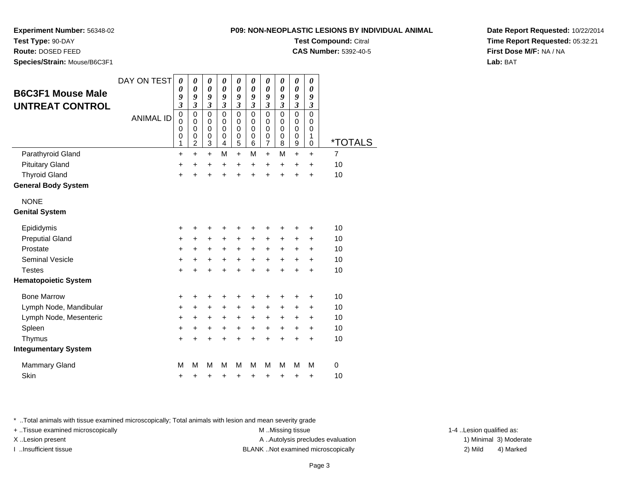**Experiment Number:** 56348-02

**Test Type:** 90-DAY

**Route:** DOSED FEED

**Species/Strain:** Mouse/B6C3F1

|                  |                       |                       |                       |                       |                       |                  |                       |                       |                       | <b>Test Compound: Citral</b><br><b>CAS Number: 5392-40-5</b> |
|------------------|-----------------------|-----------------------|-----------------------|-----------------------|-----------------------|------------------|-----------------------|-----------------------|-----------------------|--------------------------------------------------------------|
| 0<br>9<br>3      | 0<br>0<br>9<br>3      | 0<br>0<br>9<br>3      | 0<br>0<br>9<br>3      | 0<br>0<br>9<br>3      | 0<br>0<br>9<br>3      | 0<br>0<br>9<br>3 | 0<br>0<br>9<br>3      | 0<br>0<br>9<br>3      | 0<br>0<br>9<br>3      |                                                              |
| 0<br>ი<br>ი<br>ი | 0<br>0<br>0<br>0<br>2 | 0<br>0<br>0<br>0<br>3 | 0<br>0<br>0<br>0<br>4 | 0<br>0<br>0<br>0<br>5 | 0<br>0<br>0<br>0<br>6 | 0<br>0<br>0<br>0 | 0<br>0<br>0<br>0<br>8 | 0<br>0<br>0<br>0<br>9 | 0<br>0<br>0<br>1<br>ი |                                                              |

**Date Report Requested:** 10/22/2014**Time Report Requested:** 05:32:21**First Dose M/F:** NA / NA**Lab:** BAT

| <b>B6C3F1 Mouse Male</b>    | DAY ON TEST      | 0<br>0<br>9                                                                    | 0<br>$\boldsymbol{\theta}$<br>9                                          | $\boldsymbol{\theta}$<br>$\boldsymbol{\theta}$<br>9                  | 0<br>$\boldsymbol{\theta}$<br>9                                          | 0<br>$\boldsymbol{\theta}$<br>9                             | 0<br>0<br>9                                                          | 0<br>0<br>9                                                              | 0<br>$\boldsymbol{\theta}$<br>9                   | 0<br>0<br>9                                                | 0<br>$\boldsymbol{\theta}$<br>9      |                |
|-----------------------------|------------------|--------------------------------------------------------------------------------|--------------------------------------------------------------------------|----------------------------------------------------------------------|--------------------------------------------------------------------------|-------------------------------------------------------------|----------------------------------------------------------------------|--------------------------------------------------------------------------|---------------------------------------------------|------------------------------------------------------------|--------------------------------------|----------------|
| <b>UNTREAT CONTROL</b>      | <b>ANIMAL ID</b> | $\overline{\mathbf{3}}$<br>$\mathbf 0$<br>$\mathbf 0$<br>$\mathbf 0$<br>0<br>1 | $\mathfrak{z}$<br>$\mathbf 0$<br>0<br>$\mathbf 0$<br>0<br>$\overline{c}$ | $\overline{\mathbf{3}}$<br>$\mathbf 0$<br>0<br>$\mathbf 0$<br>0<br>3 | $\mathfrak{z}$<br>$\mathbf 0$<br>0<br>$\mathbf 0$<br>0<br>$\overline{4}$ | $\mathfrak{z}$<br>$\mathbf 0$<br>0<br>$\mathbf 0$<br>0<br>5 | $\overline{\mathbf{3}}$<br>$\mathbf 0$<br>0<br>$\mathbf 0$<br>0<br>6 | $\mathfrak{z}$<br>$\mathbf 0$<br>0<br>$\mathbf 0$<br>0<br>$\overline{7}$ | $\mathfrak{z}$<br>$\mathbf 0$<br>0<br>0<br>0<br>8 | $\overline{\mathbf{3}}$<br>$\mathbf 0$<br>0<br>0<br>0<br>9 | 3<br>$\mathbf 0$<br>0<br>0<br>1<br>0 | *TOTAI         |
| Parathyroid Gland           |                  | $\ddot{}$                                                                      | $\ddot{}$                                                                | $\ddot{}$                                                            | М                                                                        | $\ddot{}$                                                   | M                                                                    | $\ddot{}$                                                                | M                                                 | $+$                                                        | $\ddot{}$                            | $\overline{7}$ |
| <b>Pituitary Gland</b>      |                  | $\ddot{}$                                                                      | +                                                                        | +                                                                    | +                                                                        | $\ddot{}$                                                   | $\ddot{}$                                                            | $\ddot{}$                                                                | $\ddot{}$                                         | $\ddot{}$                                                  | $\ddot{}$                            | 10             |
| <b>Thyroid Gland</b>        |                  | $\ddot{}$                                                                      | $\ddot{}$                                                                | ÷                                                                    | ÷                                                                        | ÷                                                           | ÷                                                                    | ÷                                                                        | $\ddot{}$                                         | $\ddot{}$                                                  | $\ddot{}$                            | 10             |
| <b>General Body System</b>  |                  |                                                                                |                                                                          |                                                                      |                                                                          |                                                             |                                                                      |                                                                          |                                                   |                                                            |                                      |                |
| <b>NONE</b>                 |                  |                                                                                |                                                                          |                                                                      |                                                                          |                                                             |                                                                      |                                                                          |                                                   |                                                            |                                      |                |
| <b>Genital System</b>       |                  |                                                                                |                                                                          |                                                                      |                                                                          |                                                             |                                                                      |                                                                          |                                                   |                                                            |                                      |                |
| Epididymis                  |                  | $\ddot{}$                                                                      | +                                                                        | +                                                                    |                                                                          | +                                                           | +                                                                    | ٠                                                                        | +                                                 | ٠                                                          | +                                    | 10             |
| <b>Preputial Gland</b>      |                  | $\pm$                                                                          | +                                                                        | +                                                                    | +                                                                        | +                                                           | +                                                                    | +                                                                        | +                                                 | $\ddot{}$                                                  | +                                    | 10             |
| Prostate                    |                  | $\ddot{}$                                                                      | +                                                                        | $\ddot{}$                                                            | +                                                                        | $\ddot{}$                                                   | $\ddot{}$                                                            | $\ddot{}$                                                                | $\ddot{}$                                         | $\ddot{}$                                                  | $\ddot{}$                            | 10             |
| Seminal Vesicle             |                  | $\pm$                                                                          | +                                                                        | +                                                                    | +                                                                        | $\ddot{}$                                                   | +                                                                    | $\ddot{}$                                                                | $\ddot{}$                                         | $\ddot{}$                                                  | +                                    | 10             |
| <b>Testes</b>               |                  | $\ddot{}$                                                                      | $\ddot{}$                                                                | $\ddot{}$                                                            | ÷                                                                        | $\ddot{}$                                                   | $\ddot{}$                                                            | $\ddot{}$                                                                | $\ddot{}$                                         | $\ddot{}$                                                  | $\ddot{}$                            | 10             |
| <b>Hematopoietic System</b> |                  |                                                                                |                                                                          |                                                                      |                                                                          |                                                             |                                                                      |                                                                          |                                                   |                                                            |                                      |                |
| <b>Bone Marrow</b>          |                  | +                                                                              | +                                                                        | +                                                                    | ٠                                                                        | +                                                           | +                                                                    | +                                                                        | +                                                 | ٠                                                          | +                                    | 10             |
| Lymph Node, Mandibular      |                  | +                                                                              | +                                                                        | +                                                                    | +                                                                        | $\ddot{}$                                                   | +                                                                    | +                                                                        | +                                                 | +                                                          | +                                    | 10             |
| Lymph Node, Mesenteric      |                  | $\ddot{}$                                                                      | +                                                                        | +                                                                    | +                                                                        | $\ddot{}$                                                   | +                                                                    | $\ddot{}$                                                                | +                                                 | $\ddot{}$                                                  | +                                    | 10             |
| Spleen                      |                  | $\ddot{}$                                                                      | $\ddot{}$                                                                | $\ddot{}$                                                            | $\ddot{}$                                                                | $\ddot{}$                                                   | $\ddot{}$                                                            | $\ddot{}$                                                                | +                                                 | $\ddot{}$                                                  | $\ddot{}$                            | 10             |
| Thymus                      |                  | +                                                                              | $\ddot{}$                                                                | $\ddot{}$                                                            | +                                                                        | +                                                           | +                                                                    | $\ddot{}$                                                                | $\ddot{}$                                         | $\ddot{}$                                                  | $\ddot{}$                            | 10             |
| <b>Integumentary System</b> |                  |                                                                                |                                                                          |                                                                      |                                                                          |                                                             |                                                                      |                                                                          |                                                   |                                                            |                                      |                |
| <b>Mammary Gland</b>        |                  | м                                                                              | М                                                                        | М                                                                    | М                                                                        | М                                                           | M                                                                    | M                                                                        | M                                                 | M                                                          | M                                    | 0              |
| Skin                        |                  | +                                                                              | +                                                                        | +                                                                    | +                                                                        | +                                                           | +                                                                    | +                                                                        | +                                                 | +                                                          | +                                    | 10             |

\* ..Total animals with tissue examined microscopically; Total animals with lesion and mean severity grade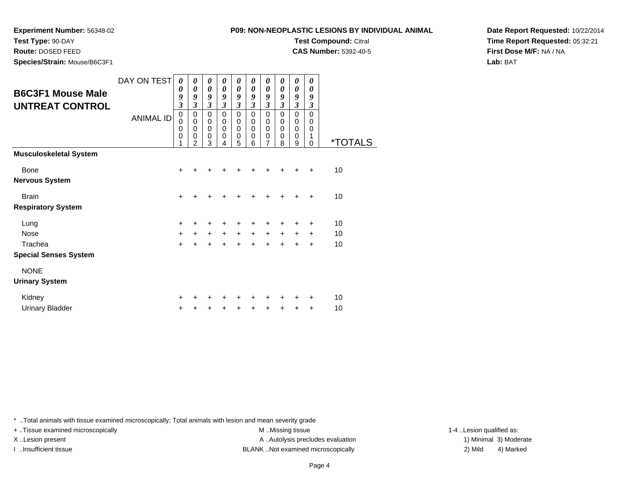### **P09: NON-NEOPLASTIC**

**Experiment Number:** 56348-02

**Test Type:** 90-DAY

**Route:** DOSED FEED

**Species/Strain:** Mouse/B6C3F1

| ASTIC LESIONS BY INDIVIDUAL ANIMAL. |  |
|-------------------------------------|--|
| <b>Test Compound: Citral</b>        |  |
| <b>CAS Number: 5392-40-5</b>        |  |

**Date Report Requested:** 10/22/2014**Time Report Requested:** 05:32:21**First Dose M/F:** NA / NA**Lab:** BAT

| <b>B6C3F1 Mouse Male</b><br><b>UNTREAT CONTROL</b> | DAY ON TEST<br><b>ANIMAL ID</b> | 0<br>0<br>9<br>$\overline{\mathbf{3}}$<br>0<br>$\mathbf 0$<br>$\mathbf 0$<br>$\mathbf 0$<br>1 | 0<br>0<br>9<br>3<br>0<br>$\mathbf 0$<br>0<br>0<br>2 | 0<br>$\boldsymbol{\theta}$<br>9<br>$\overline{\mathbf{3}}$<br>0<br>$\pmb{0}$<br>$\mathbf 0$<br>$\mathbf 0$<br>3 | 0<br>0<br>9<br>3<br>0<br>0<br>0<br>0<br>4 | $\boldsymbol{\theta}$<br>$\boldsymbol{\theta}$<br>9<br>$\overline{\mathbf{3}}$<br>0<br>$\pmb{0}$<br>$\mathbf 0$<br>$\pmb{0}$<br>5 | 0<br>$\boldsymbol{\theta}$<br>9<br>$\overline{\mathbf{3}}$<br>0<br>$\mathbf 0$<br>$\mathbf 0$<br>0<br>6 | $\boldsymbol{\theta}$<br>$\boldsymbol{\theta}$<br>9<br>$\mathfrak{z}$<br>0<br>$\mathbf 0$<br>$\mathbf 0$<br>$\mathbf 0$<br>7 | 0<br>$\boldsymbol{\theta}$<br>9<br>$\boldsymbol{\beta}$<br>0<br>$\mathbf 0$<br>$\mathbf 0$<br>0<br>8 | 0<br>$\boldsymbol{\theta}$<br>9<br>$\mathfrak{z}$<br>0<br>0<br>$\mathbf 0$<br>0<br>9 | 0<br>$\boldsymbol{\theta}$<br>9<br>$\mathfrak{z}$<br>$\Omega$<br>$\mathbf 0$<br>$\mathbf 0$<br>1<br>$\Omega$ | <i><b>*TOTALS</b></i> |
|----------------------------------------------------|---------------------------------|-----------------------------------------------------------------------------------------------|-----------------------------------------------------|-----------------------------------------------------------------------------------------------------------------|-------------------------------------------|-----------------------------------------------------------------------------------------------------------------------------------|---------------------------------------------------------------------------------------------------------|------------------------------------------------------------------------------------------------------------------------------|------------------------------------------------------------------------------------------------------|--------------------------------------------------------------------------------------|--------------------------------------------------------------------------------------------------------------|-----------------------|
| <b>Musculoskeletal System</b>                      |                                 |                                                                                               |                                                     |                                                                                                                 |                                           |                                                                                                                                   |                                                                                                         |                                                                                                                              |                                                                                                      |                                                                                      |                                                                                                              |                       |
| <b>Bone</b>                                        |                                 | $+$                                                                                           | $\div$                                              | $\div$                                                                                                          | ÷                                         | +                                                                                                                                 | +                                                                                                       | +                                                                                                                            | $\div$                                                                                               | $\div$                                                                               | $\div$                                                                                                       | 10                    |
| <b>Nervous System</b>                              |                                 |                                                                                               |                                                     |                                                                                                                 |                                           |                                                                                                                                   |                                                                                                         |                                                                                                                              |                                                                                                      |                                                                                      |                                                                                                              |                       |
| <b>Brain</b>                                       |                                 | $\ddot{}$                                                                                     | ÷                                                   | +                                                                                                               | +                                         | +                                                                                                                                 | +                                                                                                       | +                                                                                                                            | +                                                                                                    | +                                                                                    | $\div$                                                                                                       | 10                    |
| <b>Respiratory System</b>                          |                                 |                                                                                               |                                                     |                                                                                                                 |                                           |                                                                                                                                   |                                                                                                         |                                                                                                                              |                                                                                                      |                                                                                      |                                                                                                              |                       |
| Lung                                               |                                 | $\ddot{}$                                                                                     | $\ddot{}$                                           | $\ddot{}$                                                                                                       | $\ddot{}$                                 | +                                                                                                                                 | +                                                                                                       | +                                                                                                                            | +                                                                                                    | $\ddot{}$                                                                            | $\ddot{}$                                                                                                    | 10                    |
| Nose                                               |                                 | $\ddot{}$                                                                                     | $\ddot{}$                                           | $\ddot{}$                                                                                                       | $\ddot{}$                                 | $\ddot{}$                                                                                                                         | $\ddot{}$                                                                                               | $\ddot{}$                                                                                                                    | $+$                                                                                                  | $\ddot{}$                                                                            | $\ddot{}$                                                                                                    | 10                    |
| Trachea                                            |                                 | $\ddot{}$                                                                                     | $\ddot{}$                                           | $+$                                                                                                             | $\ddot{}$                                 | $+$                                                                                                                               | $\ddot{}$                                                                                               | $\ddot{}$                                                                                                                    | $\ddot{}$                                                                                            | $\pm$                                                                                | $\ddot{}$                                                                                                    | 10                    |
| <b>Special Senses System</b>                       |                                 |                                                                                               |                                                     |                                                                                                                 |                                           |                                                                                                                                   |                                                                                                         |                                                                                                                              |                                                                                                      |                                                                                      |                                                                                                              |                       |
| <b>NONE</b>                                        |                                 |                                                                                               |                                                     |                                                                                                                 |                                           |                                                                                                                                   |                                                                                                         |                                                                                                                              |                                                                                                      |                                                                                      |                                                                                                              |                       |
| <b>Urinary System</b>                              |                                 |                                                                                               |                                                     |                                                                                                                 |                                           |                                                                                                                                   |                                                                                                         |                                                                                                                              |                                                                                                      |                                                                                      |                                                                                                              |                       |
| Kidney                                             |                                 | +                                                                                             |                                                     | +                                                                                                               | ٠                                         | +                                                                                                                                 | +                                                                                                       | +                                                                                                                            | ٠                                                                                                    | +                                                                                    | ÷                                                                                                            | 10                    |
| <b>Urinary Bladder</b>                             |                                 | $\ddot{}$                                                                                     |                                                     |                                                                                                                 | +                                         | +                                                                                                                                 | +                                                                                                       | +                                                                                                                            | +                                                                                                    | +                                                                                    | $\ddot{}$                                                                                                    | 10                    |

\* ..Total animals with tissue examined microscopically; Total animals with lesion and mean severity grade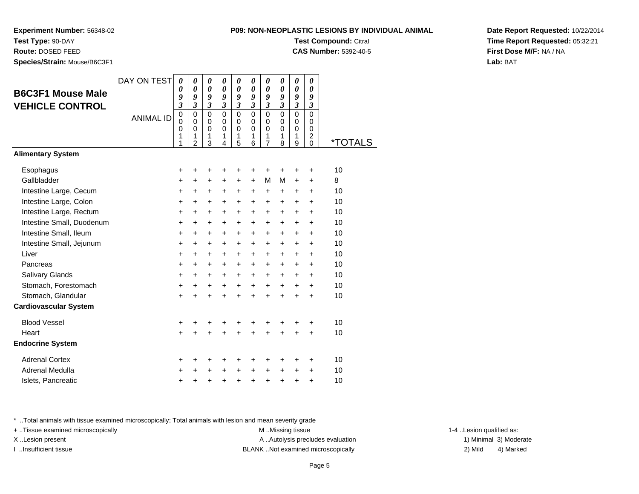**Experiment Number:** 56348-02

**Test Type:** 90-DAY**Route:** DOSED FEED

**Species/Strain:** Mouse/B6C3F1

| <b>Test Compound: Citral</b> |  |
|------------------------------|--|
| <b>CAS Number: 5392-40-5</b> |  |
|                              |  |

**Date Report Requested:** 10/22/2014**Time Report Requested:** 05:32:21**First Dose M/F:** NA / NA**Lab:** BAT

| <b>B6C3F1 Mouse Male</b><br><b>VEHICLE CONTROL</b>                                                                                                                                                                                 | DAY ON TEST<br><b>ANIMAL ID</b> | $\boldsymbol{\theta}$<br>0<br>9<br>3<br>$\mathbf 0$<br>$\mathbf 0$<br>$\mathbf 0$<br>1<br>1         | $\boldsymbol{\theta}$<br>0<br>9<br>$\mathfrak{z}$<br>$\mathbf 0$<br>$\mathbf 0$<br>$\mathbf 0$<br>1<br>$\overline{2}$ | 0<br>0<br>9<br>$\mathfrak{z}$<br>$\mathbf 0$<br>$\mathbf 0$<br>0<br>1<br>3          | 0<br>0<br>9<br>$\mathfrak{z}$<br>$\mathbf 0$<br>$\mathbf 0$<br>0<br>1<br>4                          | 0<br>0<br>9<br>$\mathfrak{z}$<br>$\mathbf 0$<br>$\mathbf 0$<br>$\mathbf 0$<br>1<br>5                                | 0<br>0<br>$\boldsymbol{g}$<br>$\mathfrak{z}$<br>$\mathbf 0$<br>$\mathbf 0$<br>$\mathbf 0$<br>$\mathbf{1}$<br>6              | 0<br>0<br>9<br>$\boldsymbol{\mathfrak{z}}$<br>$\mathbf 0$<br>$\mathbf 0$<br>0<br>1<br>$\overline{7}$ | 0<br>0<br>9<br>$\mathfrak{z}$<br>$\mathbf 0$<br>$\Omega$<br>0<br>1<br>8 | $\boldsymbol{\theta}$<br>$\boldsymbol{\theta}$<br>9<br>$\mathfrak{z}$<br>$\mathbf 0$<br>$\mathbf 0$<br>0<br>1<br>9 | $\boldsymbol{\theta}$<br>0<br>9<br>$\mathfrak{z}$<br>$\Omega$<br>$\Omega$<br>$\mathbf 0$<br>$\overline{2}$<br>$\Omega$ | <i><b>*TOTALS</b></i>                                         |
|------------------------------------------------------------------------------------------------------------------------------------------------------------------------------------------------------------------------------------|---------------------------------|-----------------------------------------------------------------------------------------------------|-----------------------------------------------------------------------------------------------------------------------|-------------------------------------------------------------------------------------|-----------------------------------------------------------------------------------------------------|---------------------------------------------------------------------------------------------------------------------|-----------------------------------------------------------------------------------------------------------------------------|------------------------------------------------------------------------------------------------------|-------------------------------------------------------------------------|--------------------------------------------------------------------------------------------------------------------|------------------------------------------------------------------------------------------------------------------------|---------------------------------------------------------------|
| <b>Alimentary System</b>                                                                                                                                                                                                           |                                 |                                                                                                     |                                                                                                                       |                                                                                     |                                                                                                     |                                                                                                                     |                                                                                                                             |                                                                                                      |                                                                         |                                                                                                                    |                                                                                                                        |                                                               |
| Esophagus<br>Gallbladder<br>Intestine Large, Cecum<br>Intestine Large, Colon<br>Intestine Large, Rectum<br>Intestine Small, Duodenum<br>Intestine Small, Ileum<br>Intestine Small, Jejunum<br>Liver<br>Pancreas<br>Salivary Glands |                                 | +<br>$\ddot{}$<br>$\ddot{}$<br>+<br>+<br>$\ddot{}$<br>+<br>$\ddot{}$<br>$\ddot{}$<br>+<br>$\ddot{}$ | +<br>+<br>$\ddot{}$<br>+<br>$\ddot{}$<br>$\ddot{}$<br>$\ddot{}$<br>$\ddot{}$<br>$\ddot{}$<br>+<br>$\ddot{}$           | +<br>$\ddot{}$<br>+<br>+<br>+<br>+<br>$\ddot{}$<br>$\ddot{}$<br>$\ddot{}$<br>+<br>+ | +<br>+<br>$\ddot{}$<br>+<br>$\ddot{}$<br>$\ddot{}$<br>$\ddot{}$<br>$\ddot{}$<br>$\ddot{}$<br>+<br>+ | +<br>$\ddot{}$<br>$\ddot{}$<br>+<br>$\ddot{}$<br>$\ddot{}$<br>$\ddot{}$<br>$\ddot{}$<br>$\ddot{}$<br>+<br>$\ddot{}$ | +<br>$\ddot{}$<br>$\ddot{}$<br>$\ddot{}$<br>$\ddot{}$<br>$\ddot{}$<br>$\ddot{}$<br>$\ddot{}$<br>$\ddot{}$<br>+<br>$\ddot{}$ | +<br>M<br>+<br>+<br>+<br>+<br>+<br>+<br>$\ddot{}$<br>+<br>+                                          | +<br>M<br>+<br>+<br>$\ddot{}$<br>+<br>+<br>+<br>+<br>+<br>+             | +<br>+<br>+<br>+<br>$\ddot{}$<br>+<br>$\ddot{}$<br>+<br>$\ddot{}$<br>+<br>+                                        | +<br>+<br>$\ddot{}$<br>+<br>$\ddot{}$<br>$\ddot{}$<br>$\ddot{}$<br>+<br>$\ddot{}$<br>+<br>$\ddot{}$                    | 10<br>8<br>10<br>10<br>10<br>10<br>10<br>10<br>10<br>10<br>10 |
| Stomach, Forestomach<br>Stomach, Glandular                                                                                                                                                                                         |                                 | $\ddot{}$<br>$\ddot{}$                                                                              | $\ddot{}$                                                                                                             | +<br>$\ddot{}$                                                                      | $\ddot{}$                                                                                           | $\ddot{}$<br>$\ddot{}$                                                                                              | $\ddot{}$<br>$\ddot{}$                                                                                                      | +<br>$\ddot{}$                                                                                       | $\ddot{}$<br>$\ddot{}$                                                  | +<br>$\ddot{}$                                                                                                     | $\ddot{}$<br>$\ddot{}$                                                                                                 | 10<br>10                                                      |
| <b>Cardiovascular System</b>                                                                                                                                                                                                       |                                 |                                                                                                     |                                                                                                                       |                                                                                     |                                                                                                     |                                                                                                                     |                                                                                                                             |                                                                                                      |                                                                         |                                                                                                                    |                                                                                                                        |                                                               |
| <b>Blood Vessel</b><br>Heart<br><b>Endocrine System</b>                                                                                                                                                                            |                                 | +<br>$\ddot{}$                                                                                      | +                                                                                                                     | +<br>$\ddot{}$                                                                      | +                                                                                                   | +<br>Ŧ.                                                                                                             | +                                                                                                                           | +<br>$\ddot{}$                                                                                       | +<br>÷                                                                  | +<br>$\ddot{}$                                                                                                     | +<br>$\ddot{}$                                                                                                         | 10<br>10                                                      |
| <b>Adrenal Cortex</b><br>Adrenal Medulla<br>Islets, Pancreatic                                                                                                                                                                     |                                 | +<br>$\ddot{}$<br>+                                                                                 | ٠                                                                                                                     | +<br>+<br>+                                                                         | +<br>+<br>+                                                                                         | +<br>+<br>+                                                                                                         | +<br>+<br>$\ddot{}$                                                                                                         | +<br>+<br>+                                                                                          | +<br>+<br>+                                                             | +<br>+<br>+                                                                                                        | +<br>+<br>$\ddot{}$                                                                                                    | 10<br>10<br>10                                                |

\* ..Total animals with tissue examined microscopically; Total animals with lesion and mean severity grade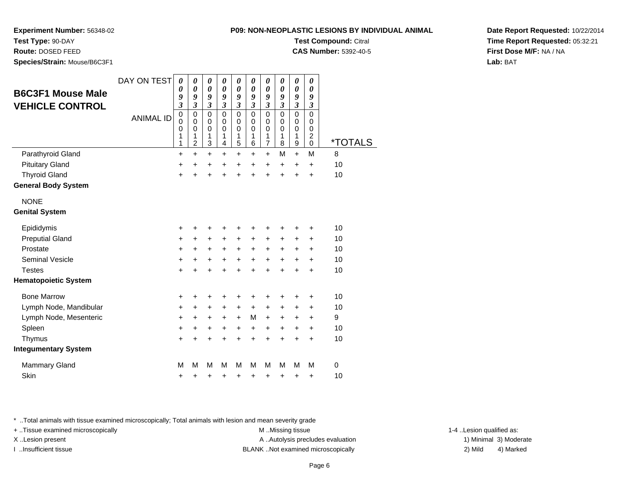## **P09: NON-NEOPLASTIC LESIONS BY INDIVIDUAL ANIMALTest Compound:** Citral

**Experiment Number:** 56348-02

**Test Type:** 90-DAY

| Route: DOSED FEED<br>Species/Strain: Mouse/B6C3F1 |                  |                                              |                                                        |                                           |                                                |                                   |                                                    |                                                    |                                       |                                         |                                       | <b>CAS Number: 5392-40-5</b> |
|---------------------------------------------------|------------------|----------------------------------------------|--------------------------------------------------------|-------------------------------------------|------------------------------------------------|-----------------------------------|----------------------------------------------------|----------------------------------------------------|---------------------------------------|-----------------------------------------|---------------------------------------|------------------------------|
|                                                   | DAY ON TEST      | 0                                            | $\boldsymbol{\theta}$                                  | $\boldsymbol{\theta}$                     | $\boldsymbol{\theta}$<br>$\boldsymbol{\theta}$ | $\boldsymbol{\theta}$             | $\boldsymbol{\theta}$                              | 0                                                  | $\boldsymbol{\theta}$                 | $\boldsymbol{\theta}$                   | 0                                     |                              |
| <b>B6C3F1 Mouse Male</b>                          |                  | 0<br>9<br>$\overline{\mathbf{3}}$            | $\boldsymbol{\theta}$<br>9<br>$\overline{\mathbf{3}}$  | 0<br>9<br>$\mathfrak{z}$                  | 9<br>$\mathfrak{z}$                            | 0<br>9<br>$\overline{\mathbf{3}}$ | $\boldsymbol{\theta}$<br>9<br>$\boldsymbol{\beta}$ | $\boldsymbol{\theta}$<br>9<br>$\boldsymbol{\beta}$ | 0<br>9<br>$\boldsymbol{\mathfrak{z}}$ | $\boldsymbol{\theta}$<br>9<br>3         | 0<br>9<br>$\boldsymbol{\mathfrak{z}}$ |                              |
| <b>VEHICLE CONTROL</b>                            | <b>ANIMAL ID</b> | $\mathbf 0$<br>$\overline{0}$<br>0<br>1<br>1 | $\mathbf 0$<br>$\mathbf 0$<br>0<br>1<br>$\overline{c}$ | $\mathbf 0$<br>$\mathbf 0$<br>0<br>1<br>3 | $\mathbf 0$<br>0<br>0<br>1<br>4                | 0<br>0<br>0<br>1<br>5             | $\mathbf 0$<br>0<br>0<br>1<br>$6\phantom{1}6$      | 0<br>0<br>0<br>1<br>$\overline{7}$                 | 0<br>0<br>0<br>1<br>8                 | $\pmb{0}$<br>$\mathbf 0$<br>0<br>1<br>9 | 0<br>0<br>0<br>$^2_{0}$               | <i><b>*TOTALS</b></i>        |
| Parathyroid Gland                                 |                  | $\ddot{}$                                    | $\ddot{}$                                              | $\ddot{}$                                 | $\ddot{}$                                      | $\ddot{}$                         | $\ddot{}$                                          | $\ddot{}$                                          | M                                     | $\ddot{}$                               | M                                     | 8                            |
| <b>Pituitary Gland</b>                            |                  | $\ddot{}$                                    | +                                                      | $\ddot{}$                                 | +                                              | +                                 | $\ddot{}$                                          | $\ddot{}$                                          | +                                     | $\ddot{}$                               | $\ddot{}$                             | 10                           |
| <b>Thyroid Gland</b>                              |                  | $\ddot{}$                                    | $\ddot{}$                                              | $\ddot{}$                                 | $\ddot{}$                                      | $\ddot{}$                         | $\ddot{}$                                          | $\ddot{}$                                          | $\ddot{}$                             | $\ddot{}$                               | $\ddot{}$                             | 10                           |
| <b>General Body System</b>                        |                  |                                              |                                                        |                                           |                                                |                                   |                                                    |                                                    |                                       |                                         |                                       |                              |
| <b>NONE</b>                                       |                  |                                              |                                                        |                                           |                                                |                                   |                                                    |                                                    |                                       |                                         |                                       |                              |
| <b>Genital System</b>                             |                  |                                              |                                                        |                                           |                                                |                                   |                                                    |                                                    |                                       |                                         |                                       |                              |
| Epididymis                                        |                  | +                                            | +                                                      | +                                         | +                                              | +                                 | +                                                  | +                                                  | +                                     | +                                       | +                                     | 10                           |
| <b>Preputial Gland</b>                            |                  | $\ddot{}$                                    | +                                                      | +                                         | +                                              | $\ddot{}$                         | $\ddot{}$                                          | +                                                  | +                                     | +                                       | $\ddot{}$                             | 10                           |
| Prostate                                          |                  | +                                            | +                                                      | +                                         | +                                              | +                                 | +                                                  | +                                                  | +                                     | +                                       | +                                     | 10                           |
| <b>Seminal Vesicle</b>                            |                  | $\ddot{}$                                    | $\ddot{}$                                              | +                                         | +                                              | +                                 | $\ddot{}$                                          | +                                                  | $\ddot{}$                             | $\ddot{}$                               | $\ddot{}$                             | 10                           |
| <b>Testes</b>                                     |                  | $\ddot{}$                                    | $\ddot{}$                                              | $\ddot{}$                                 | $\ddot{}$                                      | $\ddot{}$                         | $\ddot{}$                                          | $\ddot{}$                                          | $\ddot{}$                             | $\ddot{}$                               | $\ddot{}$                             | 10                           |
| <b>Hematopoietic System</b>                       |                  |                                              |                                                        |                                           |                                                |                                   |                                                    |                                                    |                                       |                                         |                                       |                              |
| <b>Bone Marrow</b>                                |                  | +                                            | +                                                      | +                                         | +                                              | +                                 | +                                                  | +                                                  | +                                     | +                                       | +                                     | 10                           |
| Lymph Node, Mandibular                            |                  | +                                            | $\ddot{}$                                              | +                                         | $\ddot{}$                                      | $\ddot{}$                         | $\ddot{}$                                          | $\ddot{}$                                          | $\ddot{}$                             | +                                       | $\ddot{}$                             | 10                           |
| Lymph Node, Mesenteric                            |                  | +                                            | +                                                      | +                                         | $\ddot{}$                                      | $\ddot{}$                         | M                                                  | $\ddot{}$                                          | $\ddot{}$                             | $\ddot{}$                               | +                                     | 9                            |
| Spleen                                            |                  | $\ddot{}$                                    | $\ddot{}$                                              | +                                         | $\ddot{}$                                      | $\ddot{}$                         | $\ddot{}$                                          | $\ddot{}$                                          | $\ddot{}$                             | $\ddot{}$                               | $+$                                   | 10                           |
| Thymus                                            |                  | $\ddot{}$                                    | $\ddot{}$                                              | $\ddot{}$                                 | $\ddot{}$                                      | $\ddot{}$                         | $\ddot{}$                                          | $\ddot{}$                                          | $\ddot{}$                             | $\ddot{}$                               | $\ddot{}$                             | 10                           |
| <b>Integumentary System</b>                       |                  |                                              |                                                        |                                           |                                                |                                   |                                                    |                                                    |                                       |                                         |                                       |                              |
| <b>Mammary Gland</b>                              |                  | М                                            | M                                                      | M                                         | M                                              | M                                 | M                                                  | м                                                  | M                                     | м                                       | M                                     | 0                            |
| Skin                                              |                  | +                                            | +                                                      | +                                         | +                                              | +                                 | +                                                  | +                                                  | +                                     | +                                       | +                                     | 10                           |

\* ..Total animals with tissue examined microscopically; Total animals with lesion and mean severity grade

+ ..Tissue examined microscopically examined microscopically examined as:  $M$  ..Missing tissue 1-4 ..Lesion qualified as: X..Lesion present **A ..Autolysis precludes evaluation** A ..Autolysis precludes evaluation 1) Minimal 3) Moderate I ..Insufficient tissue BLANK ..Not examined microscopically 2) Mild 4) Marked

**Date Report Requested:** 10/22/2014**Time Report Requested:** 05:32:21**First Dose M/F:** NA / NA**Lab:** BAT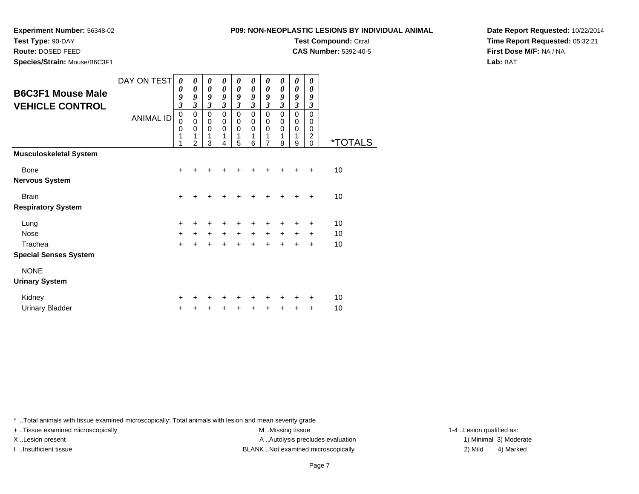### **P09: NON-NEOPLASTIC**

**Experiment Number:** 56348-02

**Test Type:** 90-DAY

**Route:** DOSED FEED

**Species/Strain:** Mouse/B6C3F1

| ASTIC LESIONS BY INDIVIDUAL ANIMAL. |  |
|-------------------------------------|--|
| <b>Test Compound: Citral</b>        |  |
| <b>CAS Number: 5392-40-5</b>        |  |

**Date Report Requested:** 10/22/2014**Time Report Requested:** 05:32:21**First Dose M/F:** NA / NA**Lab:** BAT

| <b>B6C3F1 Mouse Male</b><br><b>VEHICLE CONTROL</b> | DAY ON TEST<br><b>ANIMAL ID</b> | 0<br>0<br>9<br>3<br>0<br>0<br>0<br>1<br>1 | 0<br>0<br>9<br>$\boldsymbol{\mathfrak{z}}$<br>0<br>$\pmb{0}$<br>$\mathbf 0$<br>1<br>$\overline{2}$ | 0<br>0<br>9<br>$\mathfrak{z}$<br>0<br>0<br>$\mathbf 0$<br>1<br>3 | 0<br>$\boldsymbol{\theta}$<br>9<br>$\mathfrak{z}$<br>$\pmb{0}$<br>$\mathbf 0$<br>$\mathbf 0$<br>4 | 0<br>0<br>9<br>$\mathfrak{z}$<br>$\mathbf 0$<br>$\pmb{0}$<br>$\mathbf 0$<br>1<br>5 | 0<br>$\boldsymbol{\theta}$<br>9<br>$\mathfrak{z}$<br>$\mathbf 0$<br>$\mathbf 0$<br>$\mathbf 0$<br>1<br>6 | 0<br>0<br>9<br>$\mathfrak{z}$<br>$\pmb{0}$<br>$\pmb{0}$<br>$\mathbf 0$<br>1<br>$\overline{7}$ | 0<br>0<br>9<br>$\boldsymbol{\beta}$<br>0<br>0<br>$\mathbf 0$<br>1<br>8 | 0<br>0<br>9<br>$\mathfrak{z}$<br>$\mathbf 0$<br>0<br>$\mathbf 0$<br>1<br>9 | 0<br>0<br>9<br>$\mathfrak{z}$<br>$\Omega$<br>0<br>$\mathbf 0$<br>$\overline{c}$<br>$\mathbf 0$ | <i><b>*TOTALS</b></i> |
|----------------------------------------------------|---------------------------------|-------------------------------------------|----------------------------------------------------------------------------------------------------|------------------------------------------------------------------|---------------------------------------------------------------------------------------------------|------------------------------------------------------------------------------------|----------------------------------------------------------------------------------------------------------|-----------------------------------------------------------------------------------------------|------------------------------------------------------------------------|----------------------------------------------------------------------------|------------------------------------------------------------------------------------------------|-----------------------|
| <b>Musculoskeletal System</b>                      |                                 |                                           |                                                                                                    |                                                                  |                                                                                                   |                                                                                    |                                                                                                          |                                                                                               |                                                                        |                                                                            |                                                                                                |                       |
| <b>Bone</b>                                        |                                 | $\ddot{}$                                 | +                                                                                                  | ٠                                                                |                                                                                                   | +                                                                                  | +                                                                                                        | +                                                                                             |                                                                        |                                                                            | ÷                                                                                              | 10                    |
| <b>Nervous System</b>                              |                                 |                                           |                                                                                                    |                                                                  |                                                                                                   |                                                                                    |                                                                                                          |                                                                                               |                                                                        |                                                                            |                                                                                                |                       |
| <b>Brain</b>                                       |                                 | $\ddot{}$                                 | $\ddot{}$                                                                                          | +                                                                | ÷                                                                                                 | +                                                                                  | $\ddot{}$                                                                                                | $\ddot{}$                                                                                     | $\ddot{}$                                                              | $\ddot{}$                                                                  | $\ddot{}$                                                                                      | 10                    |
| <b>Respiratory System</b>                          |                                 |                                           |                                                                                                    |                                                                  |                                                                                                   |                                                                                    |                                                                                                          |                                                                                               |                                                                        |                                                                            |                                                                                                |                       |
| Lung                                               |                                 | $\ddot{}$                                 | +                                                                                                  | $\ddot{}$                                                        | +                                                                                                 | +                                                                                  | +                                                                                                        | +                                                                                             |                                                                        | +                                                                          | +                                                                                              | 10                    |
| Nose                                               |                                 | $\ddot{}$                                 | $+$                                                                                                | $+$                                                              | $+$                                                                                               | $\ddot{}$                                                                          | $+$                                                                                                      | $\ddot{}$                                                                                     | $+$                                                                    | $\ddot{}$                                                                  | $\ddot{}$                                                                                      | 10                    |
| Trachea                                            |                                 | $\ddot{}$                                 | $\ddot{}$                                                                                          | $\ddot{}$                                                        | $\ddot{}$                                                                                         | $\ddot{}$                                                                          | $\ddot{}$                                                                                                | $\ddot{}$                                                                                     | $\ddot{}$                                                              | $\ddot{}$                                                                  | $\ddot{}$                                                                                      | 10                    |
| <b>Special Senses System</b>                       |                                 |                                           |                                                                                                    |                                                                  |                                                                                                   |                                                                                    |                                                                                                          |                                                                                               |                                                                        |                                                                            |                                                                                                |                       |
| <b>NONE</b>                                        |                                 |                                           |                                                                                                    |                                                                  |                                                                                                   |                                                                                    |                                                                                                          |                                                                                               |                                                                        |                                                                            |                                                                                                |                       |
| <b>Urinary System</b>                              |                                 |                                           |                                                                                                    |                                                                  |                                                                                                   |                                                                                    |                                                                                                          |                                                                                               |                                                                        |                                                                            |                                                                                                |                       |
| Kidney                                             |                                 | +                                         |                                                                                                    |                                                                  |                                                                                                   | ٠                                                                                  |                                                                                                          |                                                                                               |                                                                        |                                                                            |                                                                                                | 10                    |
| <b>Urinary Bladder</b>                             |                                 | +                                         |                                                                                                    |                                                                  |                                                                                                   | +                                                                                  | +                                                                                                        | +                                                                                             |                                                                        | ٠                                                                          | $\ddot{}$                                                                                      | 10                    |

\* ..Total animals with tissue examined microscopically; Total animals with lesion and mean severity grade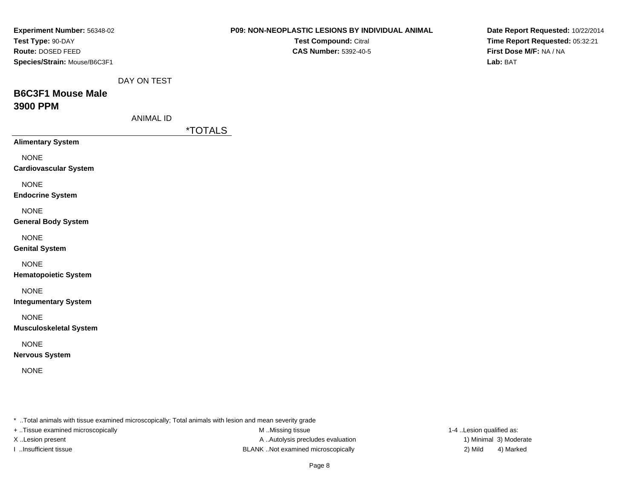| Experiment Number: 56348-02                                                                             | P09: NON-NEOPLASTIC LESIONS BY INDIVIDUAL ANIMAL | Date Report Requested: 10/22/2014 |
|---------------------------------------------------------------------------------------------------------|--------------------------------------------------|-----------------------------------|
| Test Type: 90-DAY                                                                                       | Test Compound: Citral                            | Time Report Requested: 05:32:21   |
| Route: DOSED FEED                                                                                       | <b>CAS Number: 5392-40-5</b>                     | First Dose M/F: NA / NA           |
| Species/Strain: Mouse/B6C3F1                                                                            |                                                  | Lab: BAT                          |
| DAY ON TEST                                                                                             |                                                  |                                   |
| <b>B6C3F1 Mouse Male</b>                                                                                |                                                  |                                   |
| <b>3900 PPM</b>                                                                                         |                                                  |                                   |
| <b>ANIMAL ID</b>                                                                                        |                                                  |                                   |
| <i><b>*TOTALS</b></i>                                                                                   |                                                  |                                   |
| <b>Alimentary System</b>                                                                                |                                                  |                                   |
| <b>NONE</b>                                                                                             |                                                  |                                   |
| <b>Cardiovascular System</b>                                                                            |                                                  |                                   |
| <b>NONE</b>                                                                                             |                                                  |                                   |
| <b>Endocrine System</b>                                                                                 |                                                  |                                   |
| <b>NONE</b>                                                                                             |                                                  |                                   |
| <b>General Body System</b>                                                                              |                                                  |                                   |
| <b>NONE</b>                                                                                             |                                                  |                                   |
| <b>Genital System</b>                                                                                   |                                                  |                                   |
| <b>NONE</b>                                                                                             |                                                  |                                   |
| <b>Hematopoietic System</b>                                                                             |                                                  |                                   |
| <b>NONE</b>                                                                                             |                                                  |                                   |
| <b>Integumentary System</b>                                                                             |                                                  |                                   |
| <b>NONE</b>                                                                                             |                                                  |                                   |
| <b>Musculoskeletal System</b>                                                                           |                                                  |                                   |
| <b>NONE</b>                                                                                             |                                                  |                                   |
| <b>Nervous System</b>                                                                                   |                                                  |                                   |
| <b>NONE</b>                                                                                             |                                                  |                                   |
|                                                                                                         |                                                  |                                   |
|                                                                                                         |                                                  |                                   |
|                                                                                                         |                                                  |                                   |
| * Total animals with tissue examined microscopically; Total animals with lesion and mean severity grade |                                                  |                                   |

+ ..Tissue examined microscopically **M** ..Missing tissue M ..Missing tissue 1-4 ..Lesion qualified as: X ..Lesion present A .. Autolysis precludes evaluation I ..Insufficient tissue 2) Mild 3 and SLANK ..Not examined microscopically and the state of the state of the Mild

1) Minimal 3) Moderate 4) Marked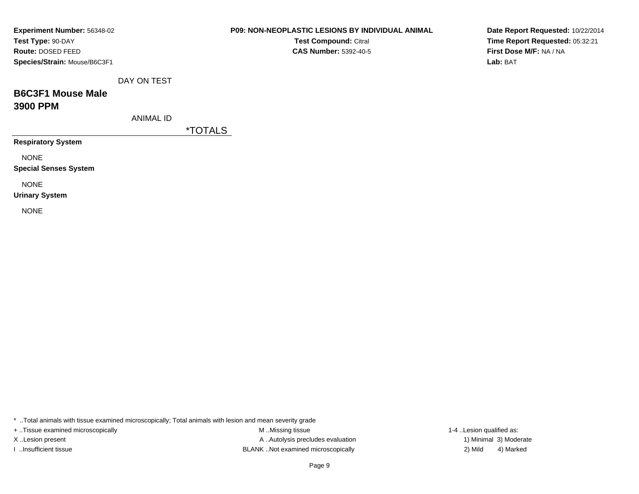| Experiment Number: 56348-02  |
|------------------------------|
| Test Type: 90-DAY            |
| <b>Route: DOSED FEED</b>     |
| Species/Strain: Mouse/B6C3F1 |
|                              |

**Test Compound:** Citral **CAS Number:** 5392-40-5

**Date Report Requested:** 10/22/2014**Time Report Requested:** 05:32:21**First Dose M/F:** NA / NA**Lab:** BAT

DAY ON TEST

# **B6C3F1 Mouse Male3900 PPM**

ANIMAL ID

\*TOTALS

**Respiratory System**

NONE

**Special Senses System**

NONE

**Urinary System**

NONE

\* ..Total animals with tissue examined microscopically; Total animals with lesion and mean severity grade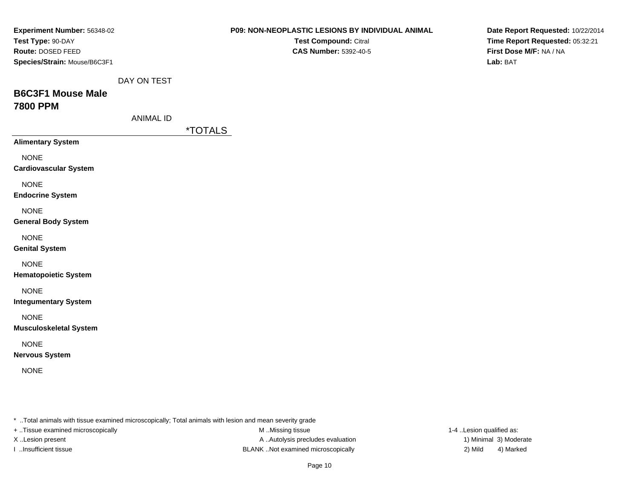| Experiment Number: 56348-02                  |                  | P09: NON-NEOPLASTIC LESIONS BY INDIVIDUAL ANIMAL                                                        | Date Report Requested: 10/22/2014 |
|----------------------------------------------|------------------|---------------------------------------------------------------------------------------------------------|-----------------------------------|
| Test Type: 90-DAY                            |                  | Test Compound: Citral                                                                                   | Time Report Requested: 05:32:21   |
| Route: DOSED FEED                            |                  | <b>CAS Number: 5392-40-5</b>                                                                            | First Dose M/F: NA / NA           |
| Species/Strain: Mouse/B6C3F1                 |                  |                                                                                                         | Lab: BAT                          |
|                                              | DAY ON TEST      |                                                                                                         |                                   |
| <b>B6C3F1 Mouse Male</b>                     |                  |                                                                                                         |                                   |
| <b>7800 PPM</b>                              |                  |                                                                                                         |                                   |
|                                              | <b>ANIMAL ID</b> |                                                                                                         |                                   |
|                                              |                  | <i><b>*TOTALS</b></i>                                                                                   |                                   |
| <b>Alimentary System</b>                     |                  |                                                                                                         |                                   |
| <b>NONE</b>                                  |                  |                                                                                                         |                                   |
| <b>Cardiovascular System</b>                 |                  |                                                                                                         |                                   |
| <b>NONE</b>                                  |                  |                                                                                                         |                                   |
| <b>Endocrine System</b>                      |                  |                                                                                                         |                                   |
| <b>NONE</b>                                  |                  |                                                                                                         |                                   |
| <b>General Body System</b>                   |                  |                                                                                                         |                                   |
| <b>NONE</b>                                  |                  |                                                                                                         |                                   |
| <b>Genital System</b>                        |                  |                                                                                                         |                                   |
| <b>NONE</b>                                  |                  |                                                                                                         |                                   |
| <b>Hematopoietic System</b>                  |                  |                                                                                                         |                                   |
|                                              |                  |                                                                                                         |                                   |
| <b>NONE</b><br><b>Integumentary System</b>   |                  |                                                                                                         |                                   |
|                                              |                  |                                                                                                         |                                   |
| <b>NONE</b><br><b>Musculoskeletal System</b> |                  |                                                                                                         |                                   |
|                                              |                  |                                                                                                         |                                   |
| <b>NONE</b>                                  |                  |                                                                                                         |                                   |
| <b>Nervous System</b>                        |                  |                                                                                                         |                                   |
| <b>NONE</b>                                  |                  |                                                                                                         |                                   |
|                                              |                  |                                                                                                         |                                   |
|                                              |                  |                                                                                                         |                                   |
|                                              |                  |                                                                                                         |                                   |
|                                              |                  | * Total animals with tissue examined microscopically; Total animals with lesion and mean severity grade |                                   |

+ ..Tissue examined microscopically **M** ..Missing tissue M ..Missing tissue 1-4 ..Lesion qualified as:

M ..Missing tissue X ..Lesion present A .. Autolysis precludes evaluation I ..Insufficient tissue 2) Mild 3 and SLANK ..Not examined microscopically and the state of the state of the Mild

1) Minimal 3) Moderate 4) Marked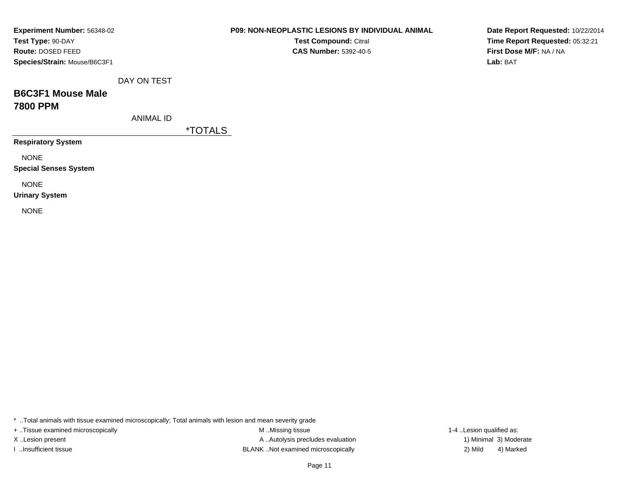| Experiment Number: 56348-02  |
|------------------------------|
| Test Type: 90-DAY            |
| <b>Route:</b> DOSED FEED     |
| Species/Strain: Mouse/B6C3F1 |

**Test Compound:** Citral **CAS Number:** 5392-40-5

**Date Report Requested:** 10/22/2014**Time Report Requested:** 05:32:21**First Dose M/F:** NA / NA**Lab:** BAT

DAY ON TEST

# **B6C3F1 Mouse Male7800 PPM**

ANIMAL ID

\*TOTALS

**Respiratory System**

NONE

**Special Senses System**

NONE

**Urinary System**

NONE

\* ..Total animals with tissue examined microscopically; Total animals with lesion and mean severity grade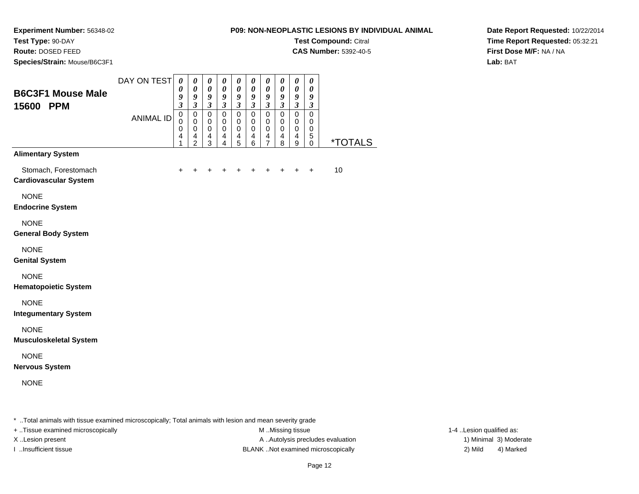**Test Compound:** Citral

**CAS Number:** 5392-40-5

**Date Report Requested:** 10/22/2014**Time Report Requested:** 05:32:21**First Dose M/F:** NA / NA**Lab:** BAT

**Experiment Number:** 56348-02

**Test Type:** 90-DAY**Route:** DOSED FEED

| Species/Strain: Mouse/B6C3F1                         |                  |                                                                                              |                                                                                          |                                                                                            |                                                                             |                                                                                          |                                                                      |                                                                                    |                                                                |                                                 |                                                                 |                       |
|------------------------------------------------------|------------------|----------------------------------------------------------------------------------------------|------------------------------------------------------------------------------------------|--------------------------------------------------------------------------------------------|-----------------------------------------------------------------------------|------------------------------------------------------------------------------------------|----------------------------------------------------------------------|------------------------------------------------------------------------------------|----------------------------------------------------------------|-------------------------------------------------|-----------------------------------------------------------------|-----------------------|
| <b>B6C3F1 Mouse Male</b>                             | DAY ON TEST      | $\boldsymbol{\theta}$<br>0<br>9                                                              | $\pmb{\theta}$<br>$\boldsymbol{\theta}$<br>9                                             | $\pmb{\theta}$<br>$\boldsymbol{\theta}$<br>9                                               | $\pmb{\theta}$<br>$\boldsymbol{\theta}$<br>9                                | $\pmb{\theta}$<br>$\boldsymbol{\theta}$<br>9                                             | $\pmb{\theta}$<br>$\boldsymbol{\theta}$<br>9                         | $\pmb{\theta}$<br>0<br>9                                                           | $\pmb{\theta}$<br>$\boldsymbol{\theta}$<br>9                   | $\pmb{\theta}$<br>$\pmb{\theta}$<br>9           | $\pmb{\theta}$<br>0<br>9                                        |                       |
| 15600<br><b>PPM</b>                                  | <b>ANIMAL ID</b> | $\boldsymbol{\mathfrak{z}}$<br>$\pmb{0}$<br>$\mathbf 0$<br>0<br>$\overline{\mathbf{4}}$<br>1 | $\boldsymbol{\beta}$<br>$\pmb{0}$<br>0<br>0<br>$\overline{\mathbf{4}}$<br>$\overline{c}$ | $\boldsymbol{\beta}$<br>$\mbox{O}$<br>$\,0\,$<br>$\pmb{0}$<br>$\overline{\mathbf{4}}$<br>3 | $\mathfrak{z}$<br>$\mbox{O}$<br>$\pmb{0}$<br>$\,0\,$<br>4<br>$\overline{4}$ | $\boldsymbol{\beta}$<br>$\pmb{0}$<br>0<br>0<br>$\overline{\mathbf{4}}$<br>$\overline{5}$ | $\boldsymbol{\mathfrak{z}}$<br>$\mathbf 0$<br>0<br>$\,0\,$<br>4<br>6 | $\mathfrak{z}$<br>$\pmb{0}$<br>0<br>0<br>$\overline{\mathbf{4}}$<br>$\overline{7}$ | $\boldsymbol{\mathfrak{z}}$<br>$\mathbf 0$<br>0<br>0<br>4<br>8 | $\mathfrak{z}$<br>$\pmb{0}$<br>0<br>0<br>4<br>9 | $\boldsymbol{\beta}$<br>$\pmb{0}$<br>0<br>0<br>$\mathbf 5$<br>0 | <i><b>*TOTALS</b></i> |
| <b>Alimentary System</b>                             |                  |                                                                                              |                                                                                          |                                                                                            |                                                                             |                                                                                          |                                                                      |                                                                                    |                                                                |                                                 |                                                                 |                       |
| Stomach, Forestomach<br><b>Cardiovascular System</b> |                  | +                                                                                            |                                                                                          |                                                                                            |                                                                             |                                                                                          |                                                                      |                                                                                    |                                                                |                                                 | $\ddot{}$                                                       | 10                    |
| <b>NONE</b><br><b>Endocrine System</b>               |                  |                                                                                              |                                                                                          |                                                                                            |                                                                             |                                                                                          |                                                                      |                                                                                    |                                                                |                                                 |                                                                 |                       |
| <b>NONE</b><br><b>General Body System</b>            |                  |                                                                                              |                                                                                          |                                                                                            |                                                                             |                                                                                          |                                                                      |                                                                                    |                                                                |                                                 |                                                                 |                       |
| <b>NONE</b><br><b>Genital System</b>                 |                  |                                                                                              |                                                                                          |                                                                                            |                                                                             |                                                                                          |                                                                      |                                                                                    |                                                                |                                                 |                                                                 |                       |
| <b>NONE</b><br><b>Hematopoietic System</b>           |                  |                                                                                              |                                                                                          |                                                                                            |                                                                             |                                                                                          |                                                                      |                                                                                    |                                                                |                                                 |                                                                 |                       |
| <b>NONE</b><br><b>Integumentary System</b>           |                  |                                                                                              |                                                                                          |                                                                                            |                                                                             |                                                                                          |                                                                      |                                                                                    |                                                                |                                                 |                                                                 |                       |
| <b>NONE</b><br><b>Musculoskeletal System</b>         |                  |                                                                                              |                                                                                          |                                                                                            |                                                                             |                                                                                          |                                                                      |                                                                                    |                                                                |                                                 |                                                                 |                       |
| <b>NONE</b><br><b>Nervous System</b>                 |                  |                                                                                              |                                                                                          |                                                                                            |                                                                             |                                                                                          |                                                                      |                                                                                    |                                                                |                                                 |                                                                 |                       |
| <b>NONE</b>                                          |                  |                                                                                              |                                                                                          |                                                                                            |                                                                             |                                                                                          |                                                                      |                                                                                    |                                                                |                                                 |                                                                 |                       |
|                                                      |                  |                                                                                              |                                                                                          |                                                                                            |                                                                             |                                                                                          |                                                                      |                                                                                    |                                                                |                                                 |                                                                 |                       |

\* ..Total animals with tissue examined microscopically; Total animals with lesion and mean severity grade

+ ..Tissue examined microscopically examined microscopically examined as:  $M$  ..Missing tissue 1-4 ..Lesion qualified as:

X..Lesion present **A ..Autolysis precludes evaluation** A ..Autolysis precludes evaluation 1) Minimal 3) Moderate I ..Insufficient tissue BLANK ..Not examined microscopically 2) Mild 4) Marked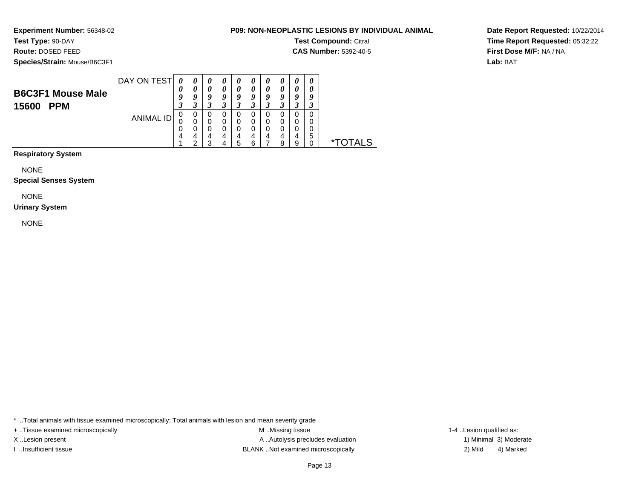**Experiment Number:** 56348-02

# **Test Type:** 90-DAY

**Route:** DOSED FEED

**Species/Strain:** Mouse/B6C3F1

## **P09: NON-NEOPLASTIC LESIONS BY INDIVIDUAL ANIMAL**

**Test Compound:** Citral

**CAS Number:** 5392-40-5

**Date Report Requested:** 10/22/2014**Time Report Requested:** 05:32:22**First Dose M/F:** NA / NA**Lab:** BAT

| <b>B6C3F1 Mouse Male</b> | DAY ON TEST | 0<br>U                | $\boldsymbol{\theta}$<br>a | $\boldsymbol{\theta}$<br>Q | G           | o                     |          | U<br>Q<br>◠           |         | $\boldsymbol{\theta}$<br>0<br>9<br>◠ | U |              |
|--------------------------|-------------|-----------------------|----------------------------|----------------------------|-------------|-----------------------|----------|-----------------------|---------|--------------------------------------|---|--------------|
| <b>PPM</b><br>15600      | ANIMAL ID   | J<br>υ<br>U<br>U<br>4 | 0<br>0<br>0<br>4<br>◠      | 0<br>0<br>0<br>4<br>ว      | O<br>0<br>4 | O<br>0<br>0<br>4<br>5 | 4<br>ี่ค | J<br>O<br>0<br>0<br>4 | 4<br>ິດ | J<br>0<br>0<br>4<br>9                | b | ∗⊤<br>S וATC |

**Respiratory System**

NONE

### **Special Senses System**

NONE

### **Urinary System**

NONE

\* ..Total animals with tissue examined microscopically; Total animals with lesion and mean severity grade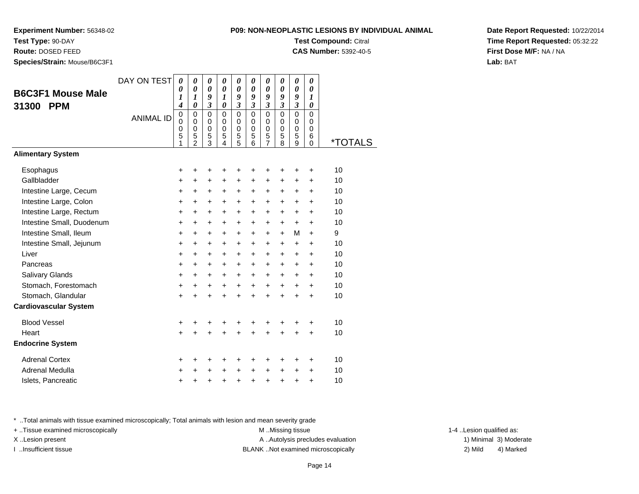**Experiment Number:** 56348-02

**Test Type:** 90-DAY

**Route:** DOSED FEED

**Species/Strain:** Mouse/B6C3F1

| I-NEOPLASTIC LESIONS BY INDIVIDUAL                                                                                                                                                                                                                                                                                                                           |
|--------------------------------------------------------------------------------------------------------------------------------------------------------------------------------------------------------------------------------------------------------------------------------------------------------------------------------------------------------------|
| <b>Test Compound: Citral</b>                                                                                                                                                                                                                                                                                                                                 |
| $\bigcap_{n=1}^{\infty}$ $\bigcap_{n=1}^{\infty}$ $\bigcup_{n=1}^{\infty}$ $\bigcap_{n=1}^{\infty}$ $\bigcap_{n=1}^{\infty}$ $\bigcap_{n=1}^{\infty}$ $\bigcap_{n=1}^{\infty}$ $\bigcap_{n=1}^{\infty}$ $\bigcap_{n=1}^{\infty}$ $\bigcap_{n=1}^{\infty}$ $\bigcap_{n=1}^{\infty}$ $\bigcap_{n=1}^{\infty}$ $\bigcap_{n=1}^{\infty}$ $\bigcap_{n=1}^{\infty$ |

**CAS Number:** 5392-40-5

**Date Report Requested:** 10/22/2014**Time Report Requested:** 05:32:22**First Dose M/F:** NA / NA**Lab:** BAT

| <b>B6C3F1 Mouse Male</b>     | DAY ON TEST      | 0<br>0<br>1                                         | 0<br>$\boldsymbol{\theta}$<br>1                        | 0<br>0<br>9                                      | 0<br>$\boldsymbol{\theta}$<br>1           | 0<br>$\boldsymbol{\theta}$<br>9                  | 0<br>0<br>9                                         | 0<br>0<br>9                                      | 0<br>0<br>9                                      | 0<br>0<br>9                                         | 0<br>$\boldsymbol{\theta}$<br>1               |                       |
|------------------------------|------------------|-----------------------------------------------------|--------------------------------------------------------|--------------------------------------------------|-------------------------------------------|--------------------------------------------------|-----------------------------------------------------|--------------------------------------------------|--------------------------------------------------|-----------------------------------------------------|-----------------------------------------------|-----------------------|
| 31300<br><b>PPM</b>          |                  | 4                                                   | $\boldsymbol{\theta}$                                  | $\boldsymbol{\beta}$                             | 0                                         | $\mathfrak{z}$                                   | $\mathfrak{z}$                                      | $\overline{\mathbf{3}}$                          | $\boldsymbol{\mathfrak{z}}$                      | $\mathfrak{z}$                                      | $\boldsymbol{\theta}$                         |                       |
|                              | <b>ANIMAL ID</b> | $\mathbf 0$<br>$\mathbf 0$<br>$\mathbf 0$<br>5<br>1 | $\mathbf 0$<br>0<br>$\mathbf 0$<br>5<br>$\overline{2}$ | $\mathbf 0$<br>0<br>$\mathbf 0$<br>$\frac{5}{3}$ | $\mathbf 0$<br>0<br>$\mathbf 0$<br>5<br>4 | $\mathbf 0$<br>0<br>$\mathbf 0$<br>$\frac{5}{5}$ | $\mathbf 0$<br>$\mathbf 0$<br>$\mathbf 0$<br>5<br>6 | $\mathbf 0$<br>0<br>$\mathbf 0$<br>$\frac{5}{7}$ | $\mathbf 0$<br>$\Omega$<br>$\mathbf 0$<br>5<br>8 | $\mathbf 0$<br>$\mathbf 0$<br>$\mathbf 0$<br>5<br>9 | $\Omega$<br>$\Omega$<br>$\mathbf 0$<br>6<br>0 | <i><b>*TOTALS</b></i> |
| <b>Alimentary System</b>     |                  |                                                     |                                                        |                                                  |                                           |                                                  |                                                     |                                                  |                                                  |                                                     |                                               |                       |
| Esophagus                    |                  | +                                                   |                                                        | +                                                | +                                         | +                                                | +                                                   | +                                                | +                                                | +                                                   | +                                             | 10                    |
| Gallbladder                  |                  | +                                                   | +                                                      | $\ddot{}$                                        | +                                         | +                                                | +                                                   | +                                                | +                                                | +                                                   | +                                             | 10                    |
| Intestine Large, Cecum       |                  | $\ddot{}$                                           | $\ddot{}$                                              | $\ddot{}$                                        | $\ddot{}$                                 | $\ddot{}$                                        | $\ddot{}$                                           | +                                                | +                                                | +                                                   | $\ddot{}$                                     | 10                    |
| Intestine Large, Colon       |                  | $\ddot{}$                                           | $\ddot{}$                                              | $\ddot{}$                                        | +                                         | $\ddot{}$                                        | $\ddot{}$                                           | $\ddot{}$                                        | +                                                | +                                                   | $\ddot{}$                                     | 10                    |
| Intestine Large, Rectum      |                  | $\ddot{}$                                           | $\ddot{}$                                              | $\ddot{}$                                        | $\ddot{}$                                 | $\ddot{}$                                        | $\ddot{}$                                           | +                                                | +                                                | $\ddot{}$                                           | $\ddot{}$                                     | 10                    |
| Intestine Small, Duodenum    |                  | $\ddot{}$                                           | +                                                      | +                                                | +                                         | +                                                | +                                                   | +                                                | +                                                | +                                                   | +                                             | 10                    |
| Intestine Small, Ileum       |                  | $\ddot{}$                                           | $\ddot{}$                                              | $\ddot{}$                                        | $\ddot{}$                                 | $\ddot{}$                                        | $\ddot{}$                                           | $\ddot{}$                                        | $\ddot{}$                                        | M                                                   | $\ddot{}$                                     | 9                     |
| Intestine Small, Jejunum     |                  | $\ddot{}$                                           | $\ddot{}$                                              | $\ddot{}$                                        | $\ddot{}$                                 | $\ddot{}$                                        | $\ddot{}$                                           | $\ddot{}$                                        | +                                                | +                                                   | +                                             | 10                    |
| Liver                        |                  | +                                                   | $\ddot{}$                                              | $\ddot{}$                                        | $\ddot{}$                                 | $\ddot{}$                                        | $\ddot{}$                                           | +                                                | +                                                | $\ddot{}$                                           | $\ddot{}$                                     | 10                    |
| Pancreas                     |                  | $\ddot{}$                                           | +                                                      | +                                                | +                                         | +                                                | +                                                   | +                                                | +                                                | +                                                   | +                                             | 10                    |
| Salivary Glands              |                  | +                                                   | $\ddot{}$                                              | $\ddot{}$                                        | $\ddot{}$                                 | $\ddot{}$                                        | $\ddot{}$                                           | $\ddot{}$                                        | $\ddot{}$                                        | $\ddot{}$                                           | $\ddot{}$                                     | 10                    |
| Stomach, Forestomach         |                  | $\ddot{}$                                           | $\ddot{}$                                              | $\ddot{}$                                        | $\ddot{}$                                 | $\ddot{}$                                        | $\ddot{}$                                           | $\ddot{}$                                        | $\ddot{}$                                        | +                                                   | +                                             | 10                    |
| Stomach, Glandular           |                  | $\ddot{}$                                           |                                                        | $\ddot{}$                                        |                                           | $\ddot{}$                                        | $\ddot{}$                                           | $\ddot{}$                                        | ÷                                                | $\ddot{}$                                           | $\ddot{}$                                     | 10                    |
| <b>Cardiovascular System</b> |                  |                                                     |                                                        |                                                  |                                           |                                                  |                                                     |                                                  |                                                  |                                                     |                                               |                       |
| <b>Blood Vessel</b>          |                  | +                                                   | +                                                      | +                                                | +                                         | +                                                | +                                                   | +                                                | +                                                | +                                                   | +                                             | 10                    |
| Heart                        |                  | $\ddot{}$                                           |                                                        | $\ddot{}$                                        |                                           | $\ddot{}$                                        |                                                     | $\ddot{}$                                        | ÷                                                | $\ddot{}$                                           | $\ddot{}$                                     | 10                    |
| <b>Endocrine System</b>      |                  |                                                     |                                                        |                                                  |                                           |                                                  |                                                     |                                                  |                                                  |                                                     |                                               |                       |
| <b>Adrenal Cortex</b>        |                  | +                                                   | +                                                      | +                                                | +                                         | +                                                | +                                                   | +                                                | +                                                | +                                                   | +                                             | 10                    |
| Adrenal Medulla              |                  | $\ddot{}$                                           |                                                        | +                                                | $\ddot{}$                                 | $\ddot{}$                                        | $\ddot{}$                                           | +                                                | $\ddot{}$                                        | +                                                   | $\ddot{}$                                     | 10                    |
| Islets, Pancreatic           |                  | +                                                   |                                                        | +                                                | +                                         | +                                                | $\ddot{}$                                           | +                                                | $\ddot{}$                                        | +                                                   | $\ddot{}$                                     | 10                    |

\* ..Total animals with tissue examined microscopically; Total animals with lesion and mean severity grade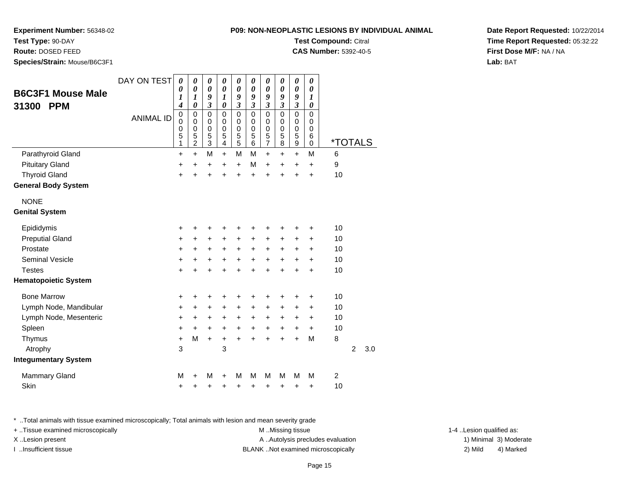**Experiment Number:** 56348-02

**Test Type:** 90-DAY

**Route:** DOSED FEED

**Species/Strain:** Mouse/B6C3F1

|  |                  |                  |                  |                  |                  |                  |                         |   | <b>Test Compound: Citral</b><br><b>CAS Number: 5392-40-5</b> |
|--|------------------|------------------|------------------|------------------|------------------|------------------|-------------------------|---|--------------------------------------------------------------|
|  | 0<br>0<br>9<br>3 | 0<br>0<br>1<br>O | 0<br>0<br>9<br>3 | 0<br>0<br>9<br>3 | 0<br>0<br>9<br>3 | 0<br>0<br>9<br>3 | 0<br>$\theta$<br>9<br>3 |   |                                                              |
|  | 0<br>ი           | 0<br>ი           | 0<br>ი           | O<br>ი           | 0<br>O           | O<br>Ω           | O<br>O                  | ი |                                                              |

**Date Report Requested:** 10/22/2014**Time Report Requested:** 05:32:22**First Dose M/F:** NA / NA**Lab:** BAT

| <b>B6C3F1 Mouse Male</b><br><b>PPM</b><br>31300 | DAY ON TEST<br><b>ANIMAL ID</b> | 0<br>0<br>1<br>4<br>$\mathbf 0$<br>0<br>0<br>5<br>1 | 0<br>$\boldsymbol{\theta}$<br>1<br>$\boldsymbol{\theta}$<br>0<br>$\mathbf 0$<br>$\mathbf 0$<br>5<br>2 | 0<br>$\boldsymbol{\theta}$<br>9<br>$\mathfrak{z}$<br>0<br>0<br>$\mathbf 0$<br>5<br>$\overline{3}$ | 0<br>$\boldsymbol{\theta}$<br>$\boldsymbol{l}$<br>$\boldsymbol{\theta}$<br>0<br>0<br>$\mathbf 0$<br>5<br>$\overline{4}$ | 0<br>$\boldsymbol{\theta}$<br>9<br>$\mathfrak{z}$<br>$\mathbf 0$<br>0<br>$\mathbf 0$<br>5<br>$\overline{5}$ | 0<br>$\boldsymbol{\theta}$<br>9<br>$\mathfrak{z}$<br>$\mathbf 0$<br>0<br>$\mathbf 0$<br>5<br>6 | 0<br>$\boldsymbol{\theta}$<br>9<br>3<br>0<br>0<br>$\mathbf 0$<br>5<br>$\overline{7}$ | 0<br>0<br>9<br>$\mathfrak{z}$<br>$\mathbf 0$<br>0<br>$\mathbf 0$<br>5<br>8 | 0<br>0<br>9<br>$\mathfrak{z}$<br>0<br>0<br>$\mathbf 0$<br>5<br>9 | 0<br>$\boldsymbol{\theta}$<br>1<br>0<br>$\Omega$<br>$\Omega$<br>$\mathbf 0$<br>6<br>$\mathbf 0$ | <i><b>*TOTALS</b></i> |                |     |
|-------------------------------------------------|---------------------------------|-----------------------------------------------------|-------------------------------------------------------------------------------------------------------|---------------------------------------------------------------------------------------------------|-------------------------------------------------------------------------------------------------------------------------|-------------------------------------------------------------------------------------------------------------|------------------------------------------------------------------------------------------------|--------------------------------------------------------------------------------------|----------------------------------------------------------------------------|------------------------------------------------------------------|-------------------------------------------------------------------------------------------------|-----------------------|----------------|-----|
| Parathyroid Gland                               |                                 | +                                                   | $+$                                                                                                   | M                                                                                                 | $+$                                                                                                                     | M                                                                                                           | M                                                                                              | $\ddot{}$                                                                            | $\ddot{}$                                                                  | $\ddot{}$                                                        | M                                                                                               | 6                     |                |     |
| <b>Pituitary Gland</b>                          |                                 | +                                                   | $\ddot{}$                                                                                             | $\ddot{}$                                                                                         | $\ddot{}$                                                                                                               | $\ddot{}$                                                                                                   | M                                                                                              | $\ddot{}$                                                                            | +                                                                          | +                                                                | +                                                                                               | 9                     |                |     |
| <b>Thyroid Gland</b>                            |                                 | $\ddot{}$                                           |                                                                                                       | +                                                                                                 |                                                                                                                         | $\ddot{}$                                                                                                   | $\ddot{}$                                                                                      | Ŧ.                                                                                   | 4                                                                          | $\ddot{}$                                                        | $\ddot{}$                                                                                       | 10                    |                |     |
| <b>General Body System</b>                      |                                 |                                                     |                                                                                                       |                                                                                                   |                                                                                                                         |                                                                                                             |                                                                                                |                                                                                      |                                                                            |                                                                  |                                                                                                 |                       |                |     |
| <b>NONE</b>                                     |                                 |                                                     |                                                                                                       |                                                                                                   |                                                                                                                         |                                                                                                             |                                                                                                |                                                                                      |                                                                            |                                                                  |                                                                                                 |                       |                |     |
| <b>Genital System</b>                           |                                 |                                                     |                                                                                                       |                                                                                                   |                                                                                                                         |                                                                                                             |                                                                                                |                                                                                      |                                                                            |                                                                  |                                                                                                 |                       |                |     |
| Epididymis                                      |                                 | +                                                   | +                                                                                                     | +                                                                                                 |                                                                                                                         | ٠                                                                                                           | ٠                                                                                              | +                                                                                    | ٠                                                                          | +                                                                | +                                                                                               | 10                    |                |     |
| <b>Preputial Gland</b>                          |                                 | +                                                   | $\ddot{}$                                                                                             | $\ddot{}$                                                                                         | +                                                                                                                       | $\ddot{}$                                                                                                   | $\ddot{}$                                                                                      | +                                                                                    | $\ddot{}$                                                                  | $\ddot{}$                                                        | $\ddot{}$                                                                                       | 10                    |                |     |
| Prostate                                        |                                 | +                                                   | +                                                                                                     | +                                                                                                 | +                                                                                                                       | +                                                                                                           | +                                                                                              | +                                                                                    | +                                                                          | +                                                                | +                                                                                               | 10                    |                |     |
| <b>Seminal Vesicle</b>                          |                                 | +                                                   | +                                                                                                     | +                                                                                                 | +                                                                                                                       | +                                                                                                           | +                                                                                              | +                                                                                    | +                                                                          | +                                                                | $\ddot{}$                                                                                       | 10                    |                |     |
| <b>Testes</b>                                   |                                 | $\ddot{}$                                           | +                                                                                                     | $\ddot{}$                                                                                         | ÷                                                                                                                       | $\ddot{}$                                                                                                   | $\ddot{}$                                                                                      | $\ddot{}$                                                                            | $\ddot{}$                                                                  | $\ddot{}$                                                        | $\ddot{}$                                                                                       | 10                    |                |     |
| <b>Hematopoietic System</b>                     |                                 |                                                     |                                                                                                       |                                                                                                   |                                                                                                                         |                                                                                                             |                                                                                                |                                                                                      |                                                                            |                                                                  |                                                                                                 |                       |                |     |
| <b>Bone Marrow</b>                              |                                 | +                                                   | +                                                                                                     | +                                                                                                 |                                                                                                                         | +                                                                                                           | +                                                                                              | +                                                                                    | +                                                                          | +                                                                | +                                                                                               | 10                    |                |     |
| Lymph Node, Mandibular                          |                                 | +                                                   | +                                                                                                     | +                                                                                                 | +                                                                                                                       | +                                                                                                           | +                                                                                              | +                                                                                    | +                                                                          | +                                                                | +                                                                                               | 10                    |                |     |
| Lymph Node, Mesenteric                          |                                 | +                                                   | $\ddot{}$                                                                                             | $\ddot{}$                                                                                         | +                                                                                                                       | $\ddot{}$                                                                                                   | $\ddot{}$                                                                                      | +                                                                                    | $\ddot{}$                                                                  | $\ddot{}$                                                        | $\ddot{}$                                                                                       | 10                    |                |     |
| Spleen                                          |                                 | $\ddot{}$                                           | $\ddot{}$                                                                                             | $\ddot{}$                                                                                         | $\ddot{}$                                                                                                               | $\boldsymbol{+}$                                                                                            | $\ddot{}$                                                                                      | $\boldsymbol{+}$                                                                     | +                                                                          | +                                                                | $\ddot{}$                                                                                       | 10                    |                |     |
| Thymus                                          |                                 | +                                                   | M                                                                                                     | $\ddot{}$                                                                                         | $\ddot{}$                                                                                                               | $\ddot{}$                                                                                                   |                                                                                                | +                                                                                    | Ŧ.                                                                         | $\ddot{}$                                                        | M                                                                                               | 8                     |                |     |
| Atrophy                                         |                                 | 3                                                   |                                                                                                       |                                                                                                   | 3                                                                                                                       |                                                                                                             |                                                                                                |                                                                                      |                                                                            |                                                                  |                                                                                                 |                       | $\overline{2}$ | 3.0 |
| <b>Integumentary System</b>                     |                                 |                                                     |                                                                                                       |                                                                                                   |                                                                                                                         |                                                                                                             |                                                                                                |                                                                                      |                                                                            |                                                                  |                                                                                                 |                       |                |     |
| <b>Mammary Gland</b>                            |                                 | M                                                   | +                                                                                                     | M                                                                                                 | +                                                                                                                       | M                                                                                                           | M                                                                                              | M                                                                                    | M                                                                          | M                                                                | M                                                                                               | $\overline{c}$        |                |     |
| Skin                                            |                                 | $\ddot{}$                                           | +                                                                                                     | +                                                                                                 | +                                                                                                                       | +                                                                                                           | +                                                                                              | +                                                                                    | +                                                                          | +                                                                | +                                                                                               | 10                    |                |     |

\* ..Total animals with tissue examined microscopically; Total animals with lesion and mean severity grade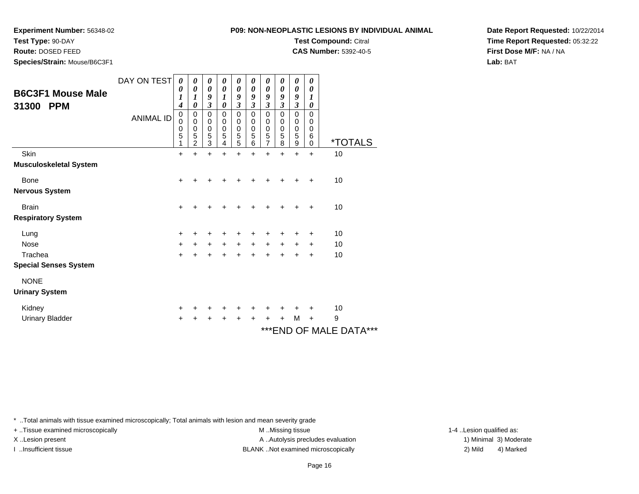**Test Compound:** Citral

**CAS Number:** 5392-40-5

**Date Report Requested:** 10/22/2014**Time Report Requested:** 05:32:22**First Dose M/F:** NA / NA**Lab:** BAT

\* ..Total animals with tissue examined microscopically; Total animals with lesion and mean severity grade

X..Lesion present **A ..Autolysis precludes evaluation** A ..Autolysis precludes evaluation 1) Minimal 3) Moderate

I ..Insufficient tissue BLANK ..Not examined microscopically 2) Mild 4) Marked

+ ..Tissue examined microscopically examined microscopically examined as:  $M$  ..Missing tissue 1-4 ..Lesion qualified as:

Kidney $\mathsf y$  <sup>+</sup> <sup>+</sup> <sup>+</sup> <sup>+</sup> <sup>+</sup> <sup>+</sup> <sup>+</sup> <sup>+</sup> + 10 Urinary Bladder $\mathsf{r}$  + <sup>+</sup> <sup>+</sup> <sup>+</sup> <sup>+</sup> <sup>+</sup> <sup>+</sup> <sup>+</sup> <sup>M</sup>M + 9  $^{\circ}$ END OF MALE DATA $^{\circ}$ 

| inimals with tissue examined microscopically; Total animals with lesion and mean severity grade |  |  |
|-------------------------------------------------------------------------------------------------|--|--|

| <b>Experiment Number: 56348-02</b> |  |
|------------------------------------|--|

**Test Type:** 90-DAY

**Route:** DOSED FEED

**Species/Strain:** Mouse/B6C3F1

|                                                 | DAY ON TEST      | 0<br>0                | 0<br>0                                    | 0<br>0                                        | 0<br>$\boldsymbol{\theta}$                  | 0<br>0                                | 0<br>$\boldsymbol{\theta}$              | 0<br>$\boldsymbol{\theta}$                             | 0<br>$\boldsymbol{\theta}$              | 0<br>0                                                 | 0<br>$\boldsymbol{\theta}$                |                          |  |
|-------------------------------------------------|------------------|-----------------------|-------------------------------------------|-----------------------------------------------|---------------------------------------------|---------------------------------------|-----------------------------------------|--------------------------------------------------------|-----------------------------------------|--------------------------------------------------------|-------------------------------------------|--------------------------|--|
| <b>B6C3F1 Mouse Male</b><br><b>PPM</b><br>31300 |                  | 1<br>4                | $\boldsymbol{l}$<br>$\boldsymbol{\theta}$ | 9<br>$\overline{\mathbf{3}}$                  | 1<br>$\pmb{\theta}$                         | 9<br>$\boldsymbol{\mathfrak{z}}$      | 9<br>$\mathfrak{z}$                     | 9<br>$\mathfrak{z}$                                    | 9<br>$\boldsymbol{\beta}$               | 9<br>$\mathfrak{z}$                                    | 1<br>$\boldsymbol{\theta}$                |                          |  |
|                                                 | <b>ANIMAL ID</b> | 0<br>0<br>0<br>5<br>1 | 0<br>0<br>0<br>5<br>$\overline{c}$        | $\pmb{0}$<br>$\pmb{0}$<br>$\pmb{0}$<br>5<br>3 | $\,0\,$<br>$\pmb{0}$<br>$\pmb{0}$<br>5<br>4 | $\pmb{0}$<br>0<br>$\pmb{0}$<br>5<br>5 | $\mathbf 0$<br>0<br>$\pmb{0}$<br>5<br>6 | $\mathbf 0$<br>0<br>$\mathbf 0$<br>5<br>$\overline{7}$ | $\mathbf 0$<br>0<br>$\pmb{0}$<br>5<br>8 | $\mathbf 0$<br>0<br>$\pmb{0}$<br>5<br>$\boldsymbol{9}$ | $\mathbf 0$<br>0<br>0<br>6<br>$\mathbf 0$ | <i><b>*TOTALS</b></i>    |  |
| Skin                                            |                  | $\ddot{}$             | $\ddot{}$                                 | $\ddot{}$                                     | +                                           | +                                     | $\ddot{}$                               | +                                                      | +                                       | +                                                      | $\ddot{}$                                 | 10                       |  |
| Musculoskeletal System                          |                  |                       |                                           |                                               |                                             |                                       |                                         |                                                        |                                         |                                                        |                                           |                          |  |
| <b>Bone</b>                                     |                  | +                     | +                                         | ٠                                             | ٠                                           | +                                     | ٠                                       | +                                                      | +                                       | ٠                                                      | $\ddot{}$                                 | 10                       |  |
| Nervous System                                  |                  |                       |                                           |                                               |                                             |                                       |                                         |                                                        |                                         |                                                        |                                           |                          |  |
| <b>Brain</b>                                    |                  | $\ddot{}$             |                                           |                                               |                                             |                                       |                                         |                                                        |                                         |                                                        | +                                         | 10                       |  |
| <b>Respiratory System</b>                       |                  |                       |                                           |                                               |                                             |                                       |                                         |                                                        |                                         |                                                        |                                           |                          |  |
| Lung                                            |                  | +                     | ٠                                         | ٠                                             | +                                           | +                                     | +                                       | +                                                      | +                                       | +                                                      | $\ddot{}$                                 | 10                       |  |
| <b>Nose</b>                                     |                  | $\ddot{}$             | ÷                                         | $\ddot{}$                                     | $\ddot{}$                                   | $+$                                   | $\ddot{}$                               | $+$                                                    | $\ddot{}$                               | $\ddot{}$                                              | $\ddot{}$                                 | 10                       |  |
| Trachea                                         |                  | $+$                   | ÷                                         | $\ddot{}$                                     | $\ddot{}$                                   | $\ddot{}$                             | $\ddot{}$                               | $\ddot{}$                                              | $\ddot{}$                               | $\ddot{}$                                              | $\ddot{}$                                 | 10                       |  |
| <b>Special Senses System</b>                    |                  |                       |                                           |                                               |                                             |                                       |                                         |                                                        |                                         |                                                        |                                           |                          |  |
| <b>NONE</b>                                     |                  |                       |                                           |                                               |                                             |                                       |                                         |                                                        |                                         |                                                        |                                           |                          |  |
| <b>Urinary System</b>                           |                  |                       |                                           |                                               |                                             |                                       |                                         |                                                        |                                         |                                                        |                                           |                          |  |
| Kidney                                          |                  | ٠                     |                                           |                                               |                                             |                                       | +                                       |                                                        |                                         |                                                        | +                                         | 10                       |  |
| Urinary Bladder                                 |                  | +                     | +                                         | +                                             | +                                           | +                                     | +                                       | +                                                      | +                                       | M                                                      | $\ddot{}$                                 | 9                        |  |
|                                                 |                  |                       |                                           |                                               |                                             |                                       |                                         |                                                        |                                         |                                                        |                                           | ***CNID OC MAI E DATA*** |  |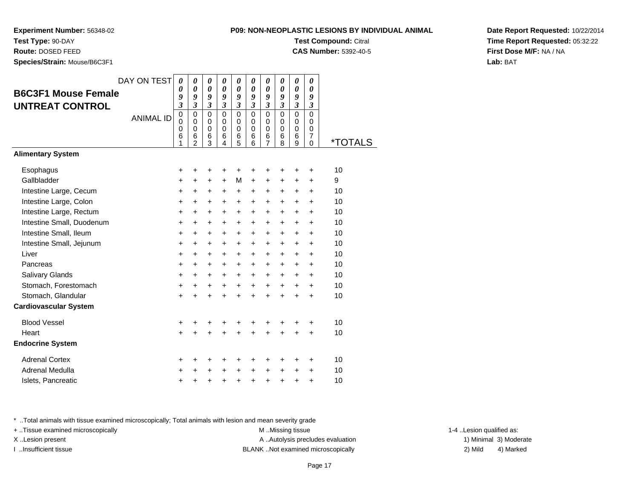**Experiment Number:** 56348-02

**Test Type:** 90-DAY**Route:** DOSED FEED

**Species/Strain:** Mouse/B6C3F1

**Test Compound:** Citral

**CAS Number:** 5392-40-5

**Date Report Requested:** 10/22/2014**Time Report Requested:** 05:32:22**First Dose M/F:** NA / NA**Lab:** BAT

| <b>B6C3F1 Mouse Female</b><br><b>UNTREAT CONTROL</b> | DAY ON TEST<br><b>ANIMAL ID</b> | 0<br>0<br>9<br>$\overline{3}$<br>$\mathbf 0$<br>0<br>0<br>6<br>1 | 0<br>$\pmb{\theta}$<br>9<br>$\overline{\mathbf{3}}$<br>$\mathbf 0$<br>$\mathbf 0$<br>$\pmb{0}$<br>6<br>$\overline{a}$ | 0<br>$\boldsymbol{\theta}$<br>9<br>$\overline{\mathbf{3}}$<br>$\Omega$<br>$\pmb{0}$<br>$\mathbf 0$<br>6<br>3 | 0<br>$\boldsymbol{\theta}$<br>9<br>$\overline{\mathbf{3}}$<br>$\Omega$<br>$\mathbf 0$<br>$\mathbf 0$<br>6<br>4 | 0<br>$\boldsymbol{\theta}$<br>9<br>$\mathfrak{z}$<br>$\Omega$<br>0<br>$\pmb{0}$<br>6<br>5 | 0<br>$\boldsymbol{\theta}$<br>9<br>$\mathfrak{z}$<br>$\Omega$<br>$\mathbf 0$<br>$\mathbf 0$<br>6<br>6 | 0<br>$\boldsymbol{\theta}$<br>9<br>$\mathfrak{z}$<br>$\mathbf 0$<br>$\pmb{0}$<br>$\mathbf 0$<br>6<br>$\overline{7}$ | 0<br>$\boldsymbol{\theta}$<br>9<br>$\mathfrak{z}$<br>$\Omega$<br>$\mathbf 0$<br>$\mathbf 0$<br>6<br>8 | 0<br>$\boldsymbol{\theta}$<br>9<br>$\overline{\mathbf{3}}$<br>$\mathbf 0$<br>$\mathbf 0$<br>$\mathbf 0$<br>$\,6$<br>9 | 0<br>$\boldsymbol{\theta}$<br>9<br>$\mathfrak{z}$<br>$\Omega$<br>$\mathbf 0$<br>$\mathbf 0$<br>$\overline{7}$<br>0 | <i><b>*TOTALS</b></i> |
|------------------------------------------------------|---------------------------------|------------------------------------------------------------------|-----------------------------------------------------------------------------------------------------------------------|--------------------------------------------------------------------------------------------------------------|----------------------------------------------------------------------------------------------------------------|-------------------------------------------------------------------------------------------|-------------------------------------------------------------------------------------------------------|---------------------------------------------------------------------------------------------------------------------|-------------------------------------------------------------------------------------------------------|-----------------------------------------------------------------------------------------------------------------------|--------------------------------------------------------------------------------------------------------------------|-----------------------|
| <b>Alimentary System</b>                             |                                 |                                                                  |                                                                                                                       |                                                                                                              |                                                                                                                |                                                                                           |                                                                                                       |                                                                                                                     |                                                                                                       |                                                                                                                       |                                                                                                                    |                       |
| Esophagus                                            |                                 | +                                                                | +                                                                                                                     | +                                                                                                            | +                                                                                                              | +                                                                                         | +                                                                                                     | +                                                                                                                   | ٠                                                                                                     | +                                                                                                                     | +                                                                                                                  | 10                    |
| Gallbladder                                          |                                 | +                                                                | +                                                                                                                     | +                                                                                                            | $\ddot{}$                                                                                                      | M                                                                                         | $\ddot{}$                                                                                             | $\ddot{}$                                                                                                           | $\ddot{}$                                                                                             | $\ddot{}$                                                                                                             | $\ddot{}$                                                                                                          | 9                     |
| Intestine Large, Cecum                               |                                 | +                                                                | +                                                                                                                     | +                                                                                                            | $\ddot{}$                                                                                                      | $\ddot{}$                                                                                 | $\ddot{}$                                                                                             | $\ddot{}$                                                                                                           | $\ddot{}$                                                                                             | $\ddot{}$                                                                                                             | $\ddot{}$                                                                                                          | 10                    |
| Intestine Large, Colon                               |                                 | +                                                                | $\ddot{}$                                                                                                             | $\ddot{}$                                                                                                    | $\ddot{}$                                                                                                      | +                                                                                         | $\ddot{}$                                                                                             | $\ddot{}$                                                                                                           | $\ddot{}$                                                                                             | $\ddot{}$                                                                                                             | $\ddot{}$                                                                                                          | 10                    |
| Intestine Large, Rectum                              |                                 | +                                                                | +                                                                                                                     | +                                                                                                            | +                                                                                                              | $\ddot{}$                                                                                 | $\ddot{}$                                                                                             | $\ddot{}$                                                                                                           | +                                                                                                     | +                                                                                                                     | +                                                                                                                  | 10                    |
| Intestine Small, Duodenum                            |                                 | +                                                                | +                                                                                                                     | $\ddot{}$                                                                                                    | $\ddot{}$                                                                                                      | $\ddot{}$                                                                                 | $\ddot{}$                                                                                             | $\ddot{}$                                                                                                           | $\ddot{}$                                                                                             | $\ddot{}$                                                                                                             | $\ddot{}$                                                                                                          | 10                    |
| Intestine Small, Ileum                               |                                 | +                                                                | +                                                                                                                     | $\ddot{}$                                                                                                    | $\ddot{}$                                                                                                      | $\ddot{}$                                                                                 | $\ddot{}$                                                                                             | $\ddot{}$                                                                                                           | $\ddot{}$                                                                                             | $\ddot{}$                                                                                                             | +                                                                                                                  | 10                    |
| Intestine Small, Jejunum                             |                                 | +                                                                | +                                                                                                                     | $\ddot{}$                                                                                                    | $\ddot{}$                                                                                                      | $\ddot{}$                                                                                 | $\ddot{}$                                                                                             | $\ddot{}$                                                                                                           | $\ddot{}$                                                                                             | $\ddot{}$                                                                                                             | $\ddot{}$                                                                                                          | 10                    |
| Liver                                                |                                 | +                                                                | +                                                                                                                     | +                                                                                                            | $\ddot{}$                                                                                                      | $\ddot{}$                                                                                 | $\ddot{}$                                                                                             | $\ddot{}$                                                                                                           | +                                                                                                     | +                                                                                                                     | +                                                                                                                  | 10                    |
| Pancreas                                             |                                 | $\ddot{}$                                                        | +                                                                                                                     | $\ddot{}$                                                                                                    | $\ddot{}$                                                                                                      | $\ddot{}$                                                                                 | $\ddot{}$                                                                                             | $\ddot{}$                                                                                                           | $\ddot{}$                                                                                             | +                                                                                                                     | $\ddot{}$                                                                                                          | 10                    |
| Salivary Glands                                      |                                 | +                                                                | $\ddot{}$                                                                                                             | $\ddot{}$                                                                                                    | $\ddot{}$                                                                                                      | $\ddot{}$                                                                                 | $\ddot{}$                                                                                             | $\ddot{}$                                                                                                           | $\ddot{}$                                                                                             | $\ddot{}$                                                                                                             | +                                                                                                                  | 10                    |
| Stomach, Forestomach                                 |                                 | $\ddot{}$                                                        | $\ddot{}$                                                                                                             | $\ddot{}$                                                                                                    | $\ddot{}$                                                                                                      | $\ddot{}$                                                                                 | $\ddot{}$                                                                                             | $\ddot{}$                                                                                                           | $\ddot{}$                                                                                             | $\ddot{}$                                                                                                             | $\ddot{}$                                                                                                          | 10                    |
| Stomach, Glandular                                   |                                 | $\ddot{}$                                                        | $\ddot{}$                                                                                                             | $\ddot{}$                                                                                                    | $\ddot{}$                                                                                                      | $\ddot{}$                                                                                 | $\ddot{}$                                                                                             | $\ddot{}$                                                                                                           | $\ddot{}$                                                                                             | $\ddot{}$                                                                                                             | $\ddot{}$                                                                                                          | 10                    |
| <b>Cardiovascular System</b>                         |                                 |                                                                  |                                                                                                                       |                                                                                                              |                                                                                                                |                                                                                           |                                                                                                       |                                                                                                                     |                                                                                                       |                                                                                                                       |                                                                                                                    |                       |
| <b>Blood Vessel</b>                                  |                                 | +                                                                | +                                                                                                                     | +                                                                                                            | +                                                                                                              | +                                                                                         | +                                                                                                     | +                                                                                                                   |                                                                                                       | +                                                                                                                     | +                                                                                                                  | 10                    |
| Heart                                                |                                 | $\ddot{}$                                                        |                                                                                                                       | +                                                                                                            | +                                                                                                              | $\ddot{}$                                                                                 |                                                                                                       |                                                                                                                     |                                                                                                       | $\ddot{}$                                                                                                             | $\ddot{}$                                                                                                          | 10                    |
| <b>Endocrine System</b>                              |                                 |                                                                  |                                                                                                                       |                                                                                                              |                                                                                                                |                                                                                           |                                                                                                       |                                                                                                                     |                                                                                                       |                                                                                                                       |                                                                                                                    |                       |
| <b>Adrenal Cortex</b>                                |                                 | +                                                                | ٠                                                                                                                     | +                                                                                                            | +                                                                                                              | +                                                                                         | +                                                                                                     | +                                                                                                                   | +                                                                                                     | +                                                                                                                     | +                                                                                                                  | 10                    |
| <b>Adrenal Medulla</b>                               |                                 | +                                                                |                                                                                                                       | +                                                                                                            | $\ddot{}$                                                                                                      | $\ddot{}$                                                                                 | $\ddot{}$                                                                                             | $\ddot{}$                                                                                                           | +                                                                                                     | +                                                                                                                     | +                                                                                                                  | 10                    |
| Islets, Pancreatic                                   |                                 | +                                                                | +                                                                                                                     | +                                                                                                            | +                                                                                                              | $\ddot{}$                                                                                 | $\ddot{}$                                                                                             | $\ddot{}$                                                                                                           | $\ddot{}$                                                                                             | +                                                                                                                     | $\ddot{}$                                                                                                          | 10                    |

\* ..Total animals with tissue examined microscopically; Total animals with lesion and mean severity grade

+ ..Tissue examined microscopically M ...Missing tissue 1-4 ... M ...Missing tissue

X..Lesion present **A ..Autolysis precludes evaluation** A ..Autolysis precludes evaluation 1) Minimal 3) Moderate I ..Insufficient tissue BLANK ..Not examined microscopically 2) Mild 4) Marked

1-4 ..Lesion qualified as: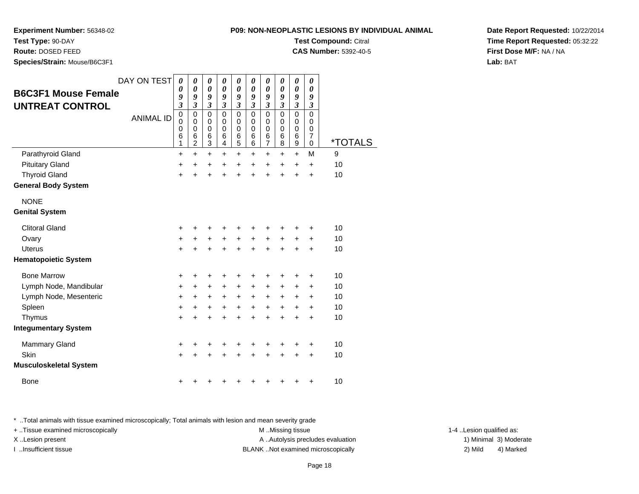# **P09: NON-NEOPLASTIC LESIONS BY INDIVIDUAL ANIMALTest Compound:** Citral

**CAS Number:** 5392-40-5

**Experiment Number:** 56348-02

**Test Type:** 90-DAY

**Route:** DOSED FEED

**Species/Strain:** Mouse/B6C3F1

| <b>B6C3F1 Mouse Female</b><br><b>UNTREAT CONTROL</b> | DAY ON TEST      | $\boldsymbol{\theta}$<br>0<br>9<br>$\overline{\mathbf{3}}$ | 0<br>0<br>9<br>$\overline{\mathbf{3}}$                           | 0<br>$\boldsymbol{\theta}$<br>9<br>$\mathfrak{z}$ | $\pmb{\theta}$<br>$\boldsymbol{\theta}$<br>9<br>$\mathfrak{z}$ | 0<br>0<br>9<br>$\mathfrak{z}$   | 0<br>0<br>9<br>$\mathfrak{z}$             | 0<br>$\boldsymbol{\theta}$<br>9<br>$\mathfrak{z}$ | 0<br>0<br>9<br>$\mathfrak{z}$             | 0<br>$\boldsymbol{\theta}$<br>9<br>$\boldsymbol{\beta}$ | $\boldsymbol{\theta}$<br>$\boldsymbol{\theta}$<br>9<br>$\boldsymbol{\beta}$ |         |
|------------------------------------------------------|------------------|------------------------------------------------------------|------------------------------------------------------------------|---------------------------------------------------|----------------------------------------------------------------|---------------------------------|-------------------------------------------|---------------------------------------------------|-------------------------------------------|---------------------------------------------------------|-----------------------------------------------------------------------------|---------|
|                                                      | <b>ANIMAL ID</b> | $\mathbf 0$<br>0<br>$\mathbf 0$<br>6<br>1                  | $\mathbf 0$<br>$\mathbf 0$<br>$\mathbf 0$<br>6<br>$\overline{2}$ | $\mathbf 0$<br>0<br>$\mathbf 0$<br>6<br>3         | $\mathbf 0$<br>0<br>$\mathbf 0$<br>6<br>4                      | 0<br>0<br>$\mathbf 0$<br>6<br>5 | $\mathbf 0$<br>0<br>$\mathbf 0$<br>6<br>6 | $\mathbf 0$<br>0<br>$\mathbf 0$<br>6<br>7         | $\mathbf 0$<br>0<br>$\mathbf 0$<br>6<br>8 | $\overline{0}$<br>0<br>0<br>6<br>9                      | $\mathbf 0$<br>0<br>$\mathbf 0$<br>$\overline{7}$<br>0                      | *TOTALS |
| Parathyroid Gland                                    |                  | $\ddot{}$                                                  | $\ddot{}$                                                        | $\ddot{}$                                         | $\ddot{}$                                                      | $\ddot{}$                       | $\ddot{}$                                 | $\pm$                                             | +                                         | $\ddot{}$                                               | M                                                                           | 9       |
| <b>Pituitary Gland</b>                               |                  | +                                                          | $\ddot{}$                                                        | $\ddot{}$                                         | $\ddot{}$                                                      | $\ddot{}$                       | $\ddot{}$                                 | $+$                                               | $\ddot{}$                                 | $\ddot{}$                                               | $\ddot{}$                                                                   | 10      |
| <b>Thyroid Gland</b>                                 |                  | $\ddot{}$                                                  | $\ddot{}$                                                        | $\ddot{}$                                         | $\ddot{}$                                                      | ÷                               | ÷                                         | ÷                                                 | $\ddot{}$                                 | $\ddot{}$                                               | $\ddot{}$                                                                   | 10      |
| <b>General Body System</b>                           |                  |                                                            |                                                                  |                                                   |                                                                |                                 |                                           |                                                   |                                           |                                                         |                                                                             |         |
| <b>NONE</b>                                          |                  |                                                            |                                                                  |                                                   |                                                                |                                 |                                           |                                                   |                                           |                                                         |                                                                             |         |
| <b>Genital System</b>                                |                  |                                                            |                                                                  |                                                   |                                                                |                                 |                                           |                                                   |                                           |                                                         |                                                                             |         |
| <b>Clitoral Gland</b>                                |                  | +                                                          |                                                                  |                                                   | ٠                                                              | ÷                               | +                                         | ٠                                                 | ٠                                         | ٠                                                       | $\ddot{}$                                                                   | 10      |
| Ovary                                                |                  | +                                                          | +                                                                | $\ddot{}$                                         | +                                                              | +                               | +                                         | $\ddot{}$                                         | +                                         | $\pm$                                                   | +                                                                           | 10      |
| Uterus                                               |                  | +                                                          |                                                                  |                                                   | $\ddot{}$                                                      | $\ddot{}$                       | $\ddot{}$                                 | $\ddot{}$                                         | $\ddot{}$                                 | $\ddot{}$                                               | $\ddot{}$                                                                   | 10      |
| <b>Hematopoietic System</b>                          |                  |                                                            |                                                                  |                                                   |                                                                |                                 |                                           |                                                   |                                           |                                                         |                                                                             |         |
| <b>Bone Marrow</b>                                   |                  | +                                                          | ٠                                                                | ÷                                                 | +                                                              | +                               | +                                         | +                                                 | +                                         | ٠                                                       | +                                                                           | 10      |
| Lymph Node, Mandibular                               |                  | +                                                          | $\ddot{}$                                                        | $\ddot{}$                                         | $+$                                                            | $\ddot{}$                       | $\ddot{}$                                 | $\ddot{}$                                         | $\ddot{}$                                 | $\ddot{}$                                               | $\ddot{}$                                                                   | 10      |
| Lymph Node, Mesenteric                               |                  | +                                                          | $\pm$                                                            | $\ddot{}$                                         | $\ddot{}$                                                      | $\ddot{}$                       | +                                         | $\pm$                                             | $\ddot{}$                                 | $\pm$                                                   | $\ddot{}$                                                                   | 10      |
| Spleen                                               |                  | $\ddot{}$                                                  | +                                                                | $\ddot{}$                                         | +                                                              | $\ddot{}$                       | +                                         | $\ddot{}$                                         | $\ddot{}$                                 | $\ddot{}$                                               | $\ddot{}$                                                                   | 10      |
| Thymus                                               |                  | +                                                          |                                                                  | +                                                 | +                                                              | +                               | $\ddot{}$                                 | $\ddot{}$                                         | $\ddot{}$                                 | $\ddot{}$                                               | $\ddot{}$                                                                   | 10      |
| <b>Integumentary System</b>                          |                  |                                                            |                                                                  |                                                   |                                                                |                                 |                                           |                                                   |                                           |                                                         |                                                                             |         |
| Mammary Gland                                        |                  | ٠                                                          | ٠                                                                |                                                   | +                                                              | ٠                               | +                                         | ٠                                                 | +                                         | +                                                       | +                                                                           | 10      |
| Skin                                                 |                  | +                                                          | $\ddot{}$                                                        | $\ddot{}$                                         | $\ddot{}$                                                      | $\ddot{}$                       | $\ddot{}$                                 | $\ddot{}$                                         | $\ddot{}$                                 | $\ddot{}$                                               | $\ddot{}$                                                                   | 10      |
| <b>Musculoskeletal System</b>                        |                  |                                                            |                                                                  |                                                   |                                                                |                                 |                                           |                                                   |                                           |                                                         |                                                                             |         |
| <b>Bone</b>                                          |                  |                                                            |                                                                  |                                                   |                                                                |                                 |                                           |                                                   |                                           |                                                         | +                                                                           | 10      |
|                                                      |                  |                                                            |                                                                  |                                                   |                                                                |                                 |                                           |                                                   |                                           |                                                         |                                                                             |         |

\* ..Total animals with tissue examined microscopically; Total animals with lesion and mean severity grade

+ ..Tissue examined microscopically examined microscopically examined as:  $M$  ..Missing tissue 1-4 ..Lesion qualified as: X..Lesion present **A ..Autolysis precludes evaluation** A ..Autolysis precludes evaluation 1) Minimal 3) Moderate I ..Insufficient tissue BLANK ..Not examined microscopically 2) Mild 4) Marked

**Date Report Requested:** 10/22/2014**Time Report Requested:** 05:32:22**First Dose M/F:** NA / NA**Lab:** BAT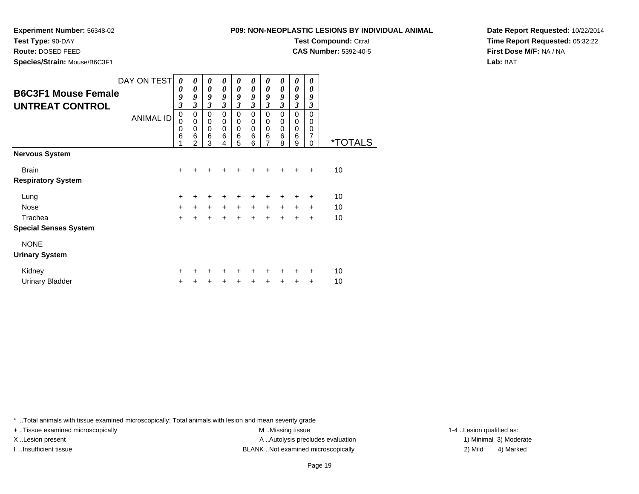**Experiment Number:** 56348-02

| <b>EXPERIMENT NUMBER.</b> 50540-02 | <u>T VJ. NON-NEOLEADTIO EEUIONU DT INDIVIDUAE</u> |          |        |                            |               |               |                              |        |              |                  |        |                              |
|------------------------------------|---------------------------------------------------|----------|--------|----------------------------|---------------|---------------|------------------------------|--------|--------------|------------------|--------|------------------------------|
| Test Type: 90-DAY                  |                                                   |          |        |                            |               |               | <b>Test Compound: Citral</b> |        |              |                  |        |                              |
| Route: DOSED FEED                  |                                                   |          |        |                            |               |               |                              |        |              |                  |        | <b>CAS Number: 5392-40-5</b> |
| Species/Strain: Mouse/B6C3F1       |                                                   |          |        |                            |               |               |                              |        |              |                  |        |                              |
|                                    | DAY ON TEST                                       | $\theta$ | 0      | 0                          | 0             | 0             | 0                            |        |              | 0                | 0      |                              |
| <b>B6C3F1 Mouse Female</b>         |                                                   | 0        | 0<br>9 | 0<br>9                     | 0<br>9        | 0<br>9        | 0<br>9                       | 9      | 0<br>9       | 0<br>9           | 0<br>9 |                              |
| <b>UNTREAT CONTROL</b>             |                                                   | 9<br>3   | 3      | 3                          | 3             | 3             | 3                            | 3      | 3            | 3                | 3      |                              |
|                                    | <b>ANIMAL ID</b>                                  | 0        | 0      | $\Omega$                   | $\Omega$      | $\Omega$      | 0                            | 0      | 0            | 0                | 0      |                              |
|                                    |                                                   | 0<br>0   | 0<br>0 | $\mathbf 0$<br>$\mathbf 0$ | $\Omega$<br>0 | $\Omega$<br>0 | 0<br>0                       | 0<br>0 | 0<br>0       | 0<br>$\mathbf 0$ | 0<br>0 |                              |
|                                    |                                                   | 6        | 6<br>2 | 6<br>3                     | 6             | 6<br>5        | 6<br>6                       | 6      | $\,6\,$<br>8 | 6<br>9           |        | <i><b>*TOTALS</b></i>        |
| <b>Nervous System</b>              |                                                   |          |        |                            |               |               |                              |        |              |                  |        |                              |
| <b>Brain</b>                       |                                                   | +        |        |                            |               |               |                              |        |              | $\div$           | $\div$ | 10                           |
| <b>Respiratory System</b>          |                                                   |          |        |                            |               |               |                              |        |              |                  |        |                              |
| Lung                               |                                                   | +        |        |                            |               |               |                              |        |              |                  | +      | 10                           |

<sup>+</sup> <sup>+</sup> <sup>+</sup> <sup>+</sup> <sup>+</sup> <sup>+</sup> <sup>+</sup> <sup>+</sup> + 10

<sup>+</sup> <sup>+</sup> <sup>+</sup> <sup>+</sup> <sup>+</sup> <sup>+</sup> <sup>+</sup> <sup>+</sup> + 10

a  $+$ **Special Senses System**

 $e$  +

# NONE

### **Urinary System**

Nose

Trachea

| Kidnev          |  |  |  |  | + + + + + + + + + + | - 10 |
|-----------------|--|--|--|--|---------------------|------|
| Urinary Bladder |  |  |  |  | + + + + + + + + + + | - 10 |

\* ..Total animals with tissue examined microscopically; Total animals with lesion and mean severity grade

+ ..Tissue examined microscopically examined microscopically examined as:  $M$  ..Missing tissue 1-4 ..Lesion qualified as: X..Lesion present **A ..Autolysis precludes evaluation** A ..Autolysis precludes evaluation 1) Minimal 3) Moderate I ..Insufficient tissue BLANK ..Not examined microscopically 2) Mild 4) Marked

**Date Report Requested:** 10/22/2014**Time Report Requested:** 05:32:22**First Dose M/F:** NA / NA**Lab:** BAT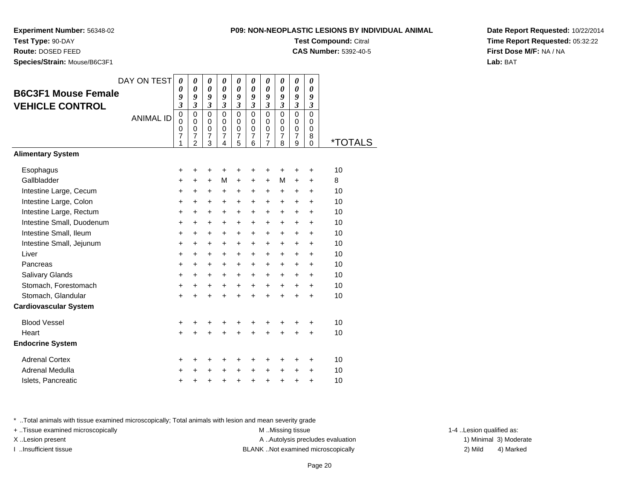**Experiment Number:** 56348-02

**Test Type:** 90-DAY

 **Route:** DOSED FEED**Species/Strain:** Mouse/B6C3F1

**Test Compound:** Citral **CAS Number:** 5392-40-5

**Date Report Requested:** 10/22/2014**Time Report Requested:** 05:32:22**First Dose M/F:** NA / NA**Lab:** BAT

| <b>B6C3F1 Mouse Female</b><br><b>VEHICLE CONTROL</b> | DAY ON TEST<br><b>ANIMAL ID</b> | $\boldsymbol{\theta}$<br>0<br>9<br>$\overline{\mathbf{3}}$<br>$\mathbf 0$<br>$\Omega$<br>0<br>$\overline{7}$<br>1 | 0<br>$\boldsymbol{\theta}$<br>9<br>$\mathfrak{z}$<br>$\mathbf 0$<br>$\Omega$<br>$\mathbf 0$<br>$\boldsymbol{7}$<br>$\overline{c}$ | 0<br>$\boldsymbol{\theta}$<br>9<br>$\boldsymbol{\beta}$<br>$\Omega$<br>$\Omega$<br>$\mathbf 0$<br>$\overline{7}$<br>3 | 0<br>$\boldsymbol{\theta}$<br>9<br>$\mathfrak{z}$<br>$\mathbf 0$<br>$\Omega$<br>$\mathbf 0$<br>$\overline{7}$<br>4 | 0<br>$\boldsymbol{\theta}$<br>9<br>$\boldsymbol{\beta}$<br>$\mathbf 0$<br>$\mathbf 0$<br>$\mathbf 0$<br>$\boldsymbol{7}$<br>5 | 0<br>0<br>9<br>$\mathfrak{z}$<br>$\Omega$<br>$\Omega$<br>$\mathbf 0$<br>$\boldsymbol{7}$<br>6 | 0<br>$\boldsymbol{\theta}$<br>9<br>$\boldsymbol{\beta}$<br>$\mathbf 0$<br>$\mathbf 0$<br>$\mathbf 0$<br>$\boldsymbol{7}$<br>$\overline{7}$ | 0<br>$\boldsymbol{\theta}$<br>9<br>$\mathfrak{z}$<br>$\mathbf 0$<br>$\mathbf 0$<br>$\mathbf 0$<br>$\overline{7}$<br>8 | 0<br>0<br>9<br>$\boldsymbol{\mathfrak{z}}$<br>$\mathbf 0$<br>$\mathbf 0$<br>$\mathbf 0$<br>$\boldsymbol{7}$<br>9 | 0<br>0<br>9<br>$\mathfrak{z}$<br>$\Omega$<br>$\Omega$<br>0<br>8<br>$\mathbf 0$ | <i><b>*TOTALS</b></i> |
|------------------------------------------------------|---------------------------------|-------------------------------------------------------------------------------------------------------------------|-----------------------------------------------------------------------------------------------------------------------------------|-----------------------------------------------------------------------------------------------------------------------|--------------------------------------------------------------------------------------------------------------------|-------------------------------------------------------------------------------------------------------------------------------|-----------------------------------------------------------------------------------------------|--------------------------------------------------------------------------------------------------------------------------------------------|-----------------------------------------------------------------------------------------------------------------------|------------------------------------------------------------------------------------------------------------------|--------------------------------------------------------------------------------|-----------------------|
| <b>Alimentary System</b>                             |                                 |                                                                                                                   |                                                                                                                                   |                                                                                                                       |                                                                                                                    |                                                                                                                               |                                                                                               |                                                                                                                                            |                                                                                                                       |                                                                                                                  |                                                                                |                       |
| Esophagus                                            |                                 | +                                                                                                                 | +                                                                                                                                 | +                                                                                                                     | +                                                                                                                  | +                                                                                                                             | +                                                                                             | +                                                                                                                                          | +                                                                                                                     | +                                                                                                                | +                                                                              | 10                    |
| Gallbladder                                          |                                 | $\ddot{}$                                                                                                         | +                                                                                                                                 | $\ddot{}$                                                                                                             | M                                                                                                                  | $\ddot{}$                                                                                                                     | +                                                                                             | $\ddot{}$                                                                                                                                  | M                                                                                                                     | +                                                                                                                | +                                                                              | 8                     |
| Intestine Large, Cecum                               |                                 | +                                                                                                                 | $\ddot{}$                                                                                                                         | +                                                                                                                     | $\ddot{}$                                                                                                          | +                                                                                                                             | +                                                                                             | +                                                                                                                                          | +                                                                                                                     | +                                                                                                                | $\ddot{}$                                                                      | 10                    |
| Intestine Large, Colon                               |                                 | +                                                                                                                 | $\ddot{}$                                                                                                                         | +                                                                                                                     | $\ddot{}$                                                                                                          | $\ddot{}$                                                                                                                     | $\ddot{}$                                                                                     | $\ddot{}$                                                                                                                                  | $\ddot{}$                                                                                                             | $\ddot{}$                                                                                                        | +                                                                              | 10                    |
| Intestine Large, Rectum                              |                                 | $\ddot{}$                                                                                                         | $\ddot{}$                                                                                                                         | $\ddot{}$                                                                                                             | $\ddot{}$                                                                                                          | $\ddot{}$                                                                                                                     | +                                                                                             | $\ddot{}$                                                                                                                                  | $\ddot{}$                                                                                                             | +                                                                                                                | $\ddot{}$                                                                      | 10                    |
| Intestine Small, Duodenum                            |                                 | $\ddot{}$                                                                                                         | +                                                                                                                                 | $\ddot{}$                                                                                                             | +                                                                                                                  | $\ddot{}$                                                                                                                     | +                                                                                             | $\ddot{}$                                                                                                                                  | $\ddot{}$                                                                                                             | +                                                                                                                | $\ddot{}$                                                                      | 10                    |
| Intestine Small, Ileum                               |                                 | +                                                                                                                 | $\ddot{}$                                                                                                                         | $\ddot{}$                                                                                                             | $\ddot{}$                                                                                                          | $\ddot{}$                                                                                                                     | $\ddot{}$                                                                                     | $\ddot{}$                                                                                                                                  | $\ddot{}$                                                                                                             | $\ddot{}$                                                                                                        | $\ddot{}$                                                                      | 10                    |
| Intestine Small, Jejunum                             |                                 | +                                                                                                                 | +                                                                                                                                 | +                                                                                                                     | +                                                                                                                  | $\ddot{}$                                                                                                                     | $\ddot{}$                                                                                     | $\ddot{}$                                                                                                                                  | $\ddot{}$                                                                                                             | $\pm$                                                                                                            | +                                                                              | 10                    |
| Liver                                                |                                 | $\ddot{}$                                                                                                         | $\ddot{}$                                                                                                                         | $\ddot{}$                                                                                                             | $\ddot{}$                                                                                                          | $\ddot{}$                                                                                                                     | $\ddot{}$                                                                                     | $\ddot{}$                                                                                                                                  | $\ddot{}$                                                                                                             | $\ddot{}$                                                                                                        | $\ddot{}$                                                                      | 10                    |
| Pancreas                                             |                                 | +                                                                                                                 | +                                                                                                                                 | +                                                                                                                     | +                                                                                                                  | +                                                                                                                             | +                                                                                             | +                                                                                                                                          | +                                                                                                                     | +                                                                                                                | $\ddot{}$                                                                      | 10                    |
| Salivary Glands                                      |                                 | +                                                                                                                 | +                                                                                                                                 | +                                                                                                                     | $\ddot{}$                                                                                                          | $\ddot{}$                                                                                                                     | $\ddot{}$                                                                                     | $\ddot{}$                                                                                                                                  | $\ddot{}$                                                                                                             | +                                                                                                                | $\ddot{}$                                                                      | 10                    |
| Stomach, Forestomach                                 |                                 | +                                                                                                                 | $\pm$                                                                                                                             | +                                                                                                                     | $\ddot{}$                                                                                                          | $\ddot{}$                                                                                                                     | $\ddot{}$                                                                                     | $\ddot{}$                                                                                                                                  | $\ddot{}$                                                                                                             | $\ddot{}$                                                                                                        | +                                                                              | 10                    |
| Stomach, Glandular                                   |                                 | $\ddot{}$                                                                                                         |                                                                                                                                   | $\ddot{}$                                                                                                             |                                                                                                                    | $\ddot{}$                                                                                                                     |                                                                                               | $\ddot{}$                                                                                                                                  | $\ddot{}$                                                                                                             | $\ddot{}$                                                                                                        | $\ddot{}$                                                                      | 10                    |
| <b>Cardiovascular System</b>                         |                                 |                                                                                                                   |                                                                                                                                   |                                                                                                                       |                                                                                                                    |                                                                                                                               |                                                                                               |                                                                                                                                            |                                                                                                                       |                                                                                                                  |                                                                                |                       |
| <b>Blood Vessel</b>                                  |                                 | +                                                                                                                 | +                                                                                                                                 | +                                                                                                                     | +                                                                                                                  | +                                                                                                                             | +                                                                                             | +                                                                                                                                          | +                                                                                                                     | +                                                                                                                | +                                                                              | 10                    |
| Heart                                                |                                 | $\ddot{}$                                                                                                         |                                                                                                                                   |                                                                                                                       |                                                                                                                    |                                                                                                                               |                                                                                               |                                                                                                                                            |                                                                                                                       | $\ddot{}$                                                                                                        | $\ddot{}$                                                                      | 10                    |
| <b>Endocrine System</b>                              |                                 |                                                                                                                   |                                                                                                                                   |                                                                                                                       |                                                                                                                    |                                                                                                                               |                                                                                               |                                                                                                                                            |                                                                                                                       |                                                                                                                  |                                                                                |                       |
| <b>Adrenal Cortex</b>                                |                                 | +                                                                                                                 | +                                                                                                                                 | +                                                                                                                     | +                                                                                                                  | +                                                                                                                             | +                                                                                             | +                                                                                                                                          | +                                                                                                                     | +                                                                                                                | +                                                                              | 10                    |
| Adrenal Medulla                                      |                                 | +                                                                                                                 |                                                                                                                                   | +                                                                                                                     | $\ddot{}$                                                                                                          | $\ddot{}$                                                                                                                     | $\ddot{}$                                                                                     | +                                                                                                                                          | +                                                                                                                     | ٠                                                                                                                | +                                                                              | 10                    |
| Islets, Pancreatic                                   |                                 | +                                                                                                                 | +                                                                                                                                 | +                                                                                                                     | +                                                                                                                  | $\ddot{}$                                                                                                                     | $\ddot{}$                                                                                     | +                                                                                                                                          | +                                                                                                                     | +                                                                                                                | +                                                                              | 10                    |

\* ..Total animals with tissue examined microscopically; Total animals with lesion and mean severity grade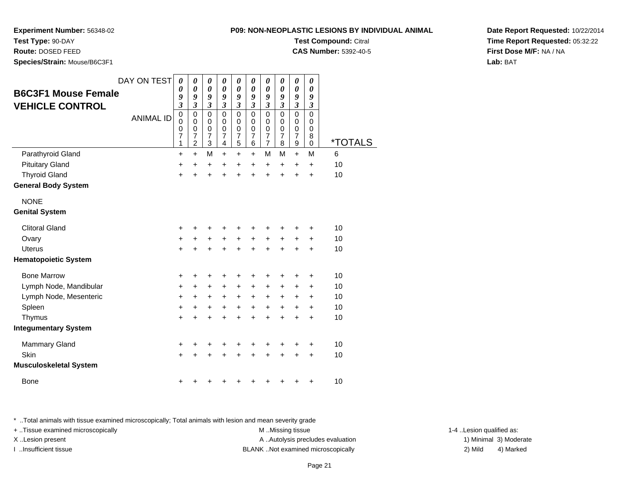# **P09: NON-NEOPLASTIC LESIONS BY INDIVIDUAL ANIMALTest Compound:** Citral

**CAS Number:** 5392-40-5

**Experiment Number:** 56348-02

**Test Type:** 90-DAY

**Route:** DOSED FEED

**Species/Strain:** Mouse/B6C3F1

| <b>B6C3F1 Mouse Female</b><br><b>VEHICLE CONTROL</b> | DAY ON TEST      | $\boldsymbol{\theta}$<br>0<br>9<br>$\overline{\mathbf{3}}$ | 0<br>0<br>9<br>$\overline{\mathbf{3}}$                           | 0<br>$\boldsymbol{\theta}$<br>9<br>$\mathfrak{z}$ | $\pmb{\theta}$<br>$\boldsymbol{\theta}$<br>9<br>$\mathfrak{z}$ | 0<br>0<br>9<br>$\mathfrak{z}$   | 0<br>0<br>9<br>$\mathfrak{z}$                   | 0<br>$\boldsymbol{\theta}$<br>9<br>$\mathfrak{z}$ | 0<br>0<br>9<br>$\mathfrak{z}$                             | 0<br>$\boldsymbol{\theta}$<br>9<br>$\boldsymbol{\beta}$   | $\boldsymbol{\theta}$<br>$\boldsymbol{\theta}$<br>9<br>$\boldsymbol{\beta}$ |         |
|------------------------------------------------------|------------------|------------------------------------------------------------|------------------------------------------------------------------|---------------------------------------------------|----------------------------------------------------------------|---------------------------------|-------------------------------------------------|---------------------------------------------------|-----------------------------------------------------------|-----------------------------------------------------------|-----------------------------------------------------------------------------|---------|
|                                                      | <b>ANIMAL ID</b> | $\mathbf 0$<br>$\mathbf 0$<br>$\mathbf 0$<br>7<br>1        | $\mathbf 0$<br>$\mathbf 0$<br>$\mathbf 0$<br>7<br>$\overline{2}$ | $\mathbf 0$<br>0<br>$\mathbf 0$<br>7<br>3         | $\mathbf 0$<br>$\mathbf 0$<br>$\mathbf 0$<br>7<br>4            | 0<br>0<br>$\mathbf 0$<br>7<br>5 | $\overline{0}$<br>0<br>0<br>$\overline{7}$<br>6 | $\mathbf 0$<br>0<br>$\mathbf 0$<br>7<br>7         | $\overline{0}$<br>0<br>$\mathbf 0$<br>$\overline{7}$<br>8 | $\overline{0}$<br>0<br>$\mathbf 0$<br>$\overline{7}$<br>9 | $\mathsf 0$<br>0<br>$\mathbf 0$<br>8<br>0                                   | *TOTALS |
| Parathyroid Gland                                    |                  | $\ddot{}$                                                  | $\ddot{}$                                                        | M                                                 | $\ddot{}$                                                      | $\ddot{}$                       | $\ddot{}$                                       | M                                                 | M                                                         | $+$                                                       | M                                                                           | 6       |
| <b>Pituitary Gland</b>                               |                  | +                                                          | $\ddot{}$                                                        | $\ddot{}$                                         | $\ddot{}$                                                      | $\ddot{}$                       | $\ddot{}$                                       | $\ddot{}$                                         | $\ddot{}$                                                 | $\ddot{}$                                                 | $\ddot{}$                                                                   | 10      |
| <b>Thyroid Gland</b>                                 |                  | $\ddot{}$                                                  | $\ddot{}$                                                        | $\ddot{}$                                         | $\ddot{}$                                                      | ÷                               | ÷                                               | ÷                                                 | $\ddot{}$                                                 | $\ddot{}$                                                 | $\ddot{}$                                                                   | 10      |
| <b>General Body System</b>                           |                  |                                                            |                                                                  |                                                   |                                                                |                                 |                                                 |                                                   |                                                           |                                                           |                                                                             |         |
| <b>NONE</b>                                          |                  |                                                            |                                                                  |                                                   |                                                                |                                 |                                                 |                                                   |                                                           |                                                           |                                                                             |         |
| <b>Genital System</b>                                |                  |                                                            |                                                                  |                                                   |                                                                |                                 |                                                 |                                                   |                                                           |                                                           |                                                                             |         |
| <b>Clitoral Gland</b>                                |                  | +                                                          |                                                                  |                                                   | ٠                                                              | ÷                               | +                                               | +                                                 | ٠                                                         | ٠                                                         | $\ddot{}$                                                                   | 10      |
| Ovary                                                |                  | +                                                          | +                                                                | $\ddot{}$                                         | +                                                              | +                               | +                                               | $\ddot{}$                                         | +                                                         | $\ddot{}$                                                 | +                                                                           | 10      |
| Uterus                                               |                  | +                                                          |                                                                  |                                                   | $\ddot{}$                                                      | $\ddot{}$                       | $\ddot{}$                                       | $\ddot{}$                                         | $\ddot{}$                                                 | $\ddot{}$                                                 | $\ddot{}$                                                                   | 10      |
| <b>Hematopoietic System</b>                          |                  |                                                            |                                                                  |                                                   |                                                                |                                 |                                                 |                                                   |                                                           |                                                           |                                                                             |         |
| <b>Bone Marrow</b>                                   |                  | +                                                          | ٠                                                                | ÷                                                 | +                                                              | ٠                               | +                                               | +                                                 | +                                                         | ٠                                                         | +                                                                           | 10      |
| Lymph Node, Mandibular                               |                  | +                                                          | $\ddot{}$                                                        | $\ddot{}$                                         | $+$                                                            | $\ddot{}$                       | $\ddot{}$                                       | $\ddot{}$                                         | $\ddot{}$                                                 | $\ddot{}$                                                 | $\ddot{}$                                                                   | 10      |
| Lymph Node, Mesenteric                               |                  | +                                                          | $\ddot{}$                                                        | $\ddot{}$                                         | $\ddot{}$                                                      | $\ddot{}$                       | +                                               | $\ddot{}$                                         | $\ddot{}$                                                 | $\ddot{}$                                                 | $\ddot{}$                                                                   | 10      |
| Spleen                                               |                  | +                                                          | +                                                                | $\ddot{}$                                         | +                                                              | $\ddot{}$                       | +                                               | +                                                 | $\ddot{}$                                                 | $\ddot{}$                                                 | $\ddot{}$                                                                   | 10      |
| Thymus                                               |                  | +                                                          |                                                                  | +                                                 | +                                                              | +                               | $\ddot{}$                                       | $\ddot{}$                                         | $\ddot{}$                                                 | $\ddot{}$                                                 | $\ddot{}$                                                                   | 10      |
| <b>Integumentary System</b>                          |                  |                                                            |                                                                  |                                                   |                                                                |                                 |                                                 |                                                   |                                                           |                                                           |                                                                             |         |
| Mammary Gland                                        |                  | ٠                                                          | ٠                                                                |                                                   | +                                                              | +                               | +                                               | ٠                                                 | +                                                         | +                                                         | +                                                                           | 10      |
| Skin                                                 |                  | +                                                          | $\ddot{}$                                                        | $\ddot{}$                                         | $\ddot{}$                                                      | $\ddot{}$                       | $\ddot{}$                                       | $\ddot{}$                                         | $\ddot{}$                                                 | $\ddot{}$                                                 | $\ddot{}$                                                                   | 10      |
| <b>Musculoskeletal System</b>                        |                  |                                                            |                                                                  |                                                   |                                                                |                                 |                                                 |                                                   |                                                           |                                                           |                                                                             |         |
| <b>Bone</b>                                          |                  |                                                            |                                                                  |                                                   |                                                                |                                 |                                                 |                                                   |                                                           |                                                           | +                                                                           | 10      |
|                                                      |                  |                                                            |                                                                  |                                                   |                                                                |                                 |                                                 |                                                   |                                                           |                                                           |                                                                             |         |

\* ..Total animals with tissue examined microscopically; Total animals with lesion and mean severity grade

+ ..Tissue examined microscopically examined microscopically examined as:  $M$  ..Missing tissue 1-4 ..Lesion qualified as: X..Lesion present **A ..Autolysis precludes evaluation** A ..Autolysis precludes evaluation 1) Minimal 3) Moderate I ..Insufficient tissue BLANK ..Not examined microscopically 2) Mild 4) Marked

Page 21

**Date Report Requested:** 10/22/2014**Time Report Requested:** 05:32:22**First Dose M/F:** NA / NA**Lab:** BAT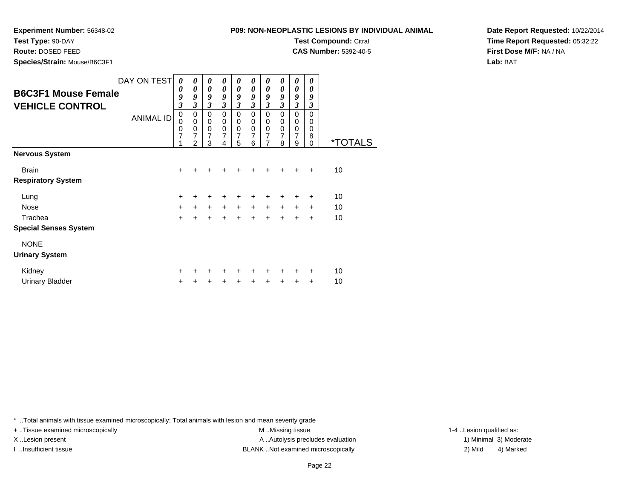# **P09: NON-NEOPLASTIC LESIONS BY IND**

**Experiment Number:** 56348-02

**Test Type:** 90-DAY

**Route:** DOSED FEED

**Species/Strain:** Mouse/B6C3F1

| ASTIC LESIONS BY INDIVIDUAL ANIMAL |  |
|------------------------------------|--|
| <b>Test Compound: Citral</b>       |  |
| <b>CAS Number:</b> 5392-40-5       |  |
|                                    |  |

**Date Report Requested:** 10/22/2014**Time Report Requested:** 05:32:22**First Dose M/F:** NA / NA**Lab:** BAT

| <b>B6C3F1 Mouse Female</b><br><b>VEHICLE CONTROL</b> | DAY ON TEST<br><b>ANIMAL ID</b> | 0<br>0<br>9<br>3<br>$\mathbf 0$<br>$\mathbf 0$<br>0 | 0<br>0<br>9<br>3<br>0<br>0<br>0 | 0<br>$\boldsymbol{\theta}$<br>9<br>$\overline{\mathbf{3}}$<br>$\mathbf 0$<br>$\pmb{0}$<br>$\pmb{0}$ | 0<br>0<br>9<br>3<br>0<br>$\mathbf 0$<br>0 | 0<br>$\boldsymbol{\theta}$<br>9<br>$\overline{\mathbf{3}}$<br>$\mathbf 0$<br>$\pmb{0}$<br>$\mathbf 0$ | $\boldsymbol{\theta}$<br>$\boldsymbol{\theta}$<br>9<br>3<br>$\mathbf 0$<br>$\mathbf 0$<br>$\mathbf 0$ | 0<br>$\boldsymbol{\theta}$<br>9<br>$\mathfrak{z}$<br>$\mathbf 0$<br>$\mathbf 0$<br>$\pmb{0}$ | 0<br>0<br>9<br>3<br>$\Omega$<br>0<br>$\mathbf 0$ | 0<br>$\boldsymbol{\theta}$<br>9<br>$\mathfrak{z}$<br>$\mathbf 0$<br>0<br>0 | 0<br>0<br>9<br>3<br>$\Omega$<br>$\Omega$<br>0 |                       |
|------------------------------------------------------|---------------------------------|-----------------------------------------------------|---------------------------------|-----------------------------------------------------------------------------------------------------|-------------------------------------------|-------------------------------------------------------------------------------------------------------|-------------------------------------------------------------------------------------------------------|----------------------------------------------------------------------------------------------|--------------------------------------------------|----------------------------------------------------------------------------|-----------------------------------------------|-----------------------|
|                                                      |                                 | $\overline{7}$<br>1                                 | 7<br>2                          | 7<br>3                                                                                              | 7<br>4                                    | 7<br>5                                                                                                | 7<br>6                                                                                                | 7<br>$\overline{7}$                                                                          | 7<br>8                                           | 7<br>9                                                                     | 8<br>$\Omega$                                 | <i><b>*TOTALS</b></i> |
| <b>Nervous System</b>                                |                                 |                                                     |                                 |                                                                                                     |                                           |                                                                                                       |                                                                                                       |                                                                                              |                                                  |                                                                            |                                               |                       |
| <b>Brain</b>                                         |                                 | $\ddot{}$                                           |                                 | +                                                                                                   | ٠                                         | $\ddot{}$                                                                                             | +                                                                                                     | $\pm$                                                                                        | $\ddot{}$                                        | $\ddot{}$                                                                  | $\ddot{}$                                     | 10                    |
| <b>Respiratory System</b>                            |                                 |                                                     |                                 |                                                                                                     |                                           |                                                                                                       |                                                                                                       |                                                                                              |                                                  |                                                                            |                                               |                       |
| Lung                                                 |                                 | $\ddot{}$                                           | $\pm$                           | $\ddot{}$                                                                                           | $\ddot{}$                                 | $\ddot{}$                                                                                             | +                                                                                                     | $\pm$                                                                                        | $\ddot{}$                                        | $\ddot{}$                                                                  | $\ddot{}$                                     | 10                    |
| <b>Nose</b>                                          |                                 | $+$                                                 | $\ddot{}$                       | $\ddot{}$                                                                                           | $\ddot{}$                                 | $\ddot{}$                                                                                             | $\ddot{}$                                                                                             | $\ddot{}$                                                                                    | $\ddot{}$                                        | $\ddot{}$                                                                  | $\ddot{}$                                     | 10                    |
| Trachea                                              |                                 | $\ddot{}$                                           | $\ddot{}$                       | $+$                                                                                                 | $\ddot{}$                                 | $+$                                                                                                   | $\ddot{}$                                                                                             | $\ddot{}$                                                                                    | $\ddot{}$                                        | $\ddot{}$                                                                  | $\ddot{}$                                     | 10                    |
| <b>Special Senses System</b>                         |                                 |                                                     |                                 |                                                                                                     |                                           |                                                                                                       |                                                                                                       |                                                                                              |                                                  |                                                                            |                                               |                       |
| <b>NONE</b>                                          |                                 |                                                     |                                 |                                                                                                     |                                           |                                                                                                       |                                                                                                       |                                                                                              |                                                  |                                                                            |                                               |                       |
| <b>Urinary System</b>                                |                                 |                                                     |                                 |                                                                                                     |                                           |                                                                                                       |                                                                                                       |                                                                                              |                                                  |                                                                            |                                               |                       |
| Kidney                                               |                                 | $\ddot{}$                                           |                                 | ٠                                                                                                   | ٠                                         | +                                                                                                     | ٠                                                                                                     | +                                                                                            | ٠                                                |                                                                            | ÷                                             | 10                    |
| Urinary Bladder                                      |                                 | $\ddot{}$                                           | ٠                               | $\ddot{}$                                                                                           | +                                         | +                                                                                                     | +                                                                                                     | +                                                                                            | +                                                | $\ddot{}$                                                                  | $\ddot{}$                                     | 10                    |

\* ..Total animals with tissue examined microscopically; Total animals with lesion and mean severity grade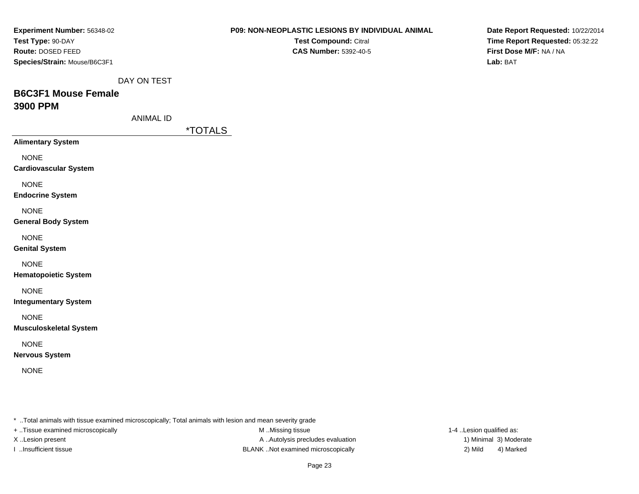| <b>Experiment Number: 56348-02</b>           |                  |                                                                                                         | <b>P09: NON-NEOPLASTIC LESIONS BY INDIVIDUAL ANIMAL</b> | Date Report Requested: 10/22/2014                          |
|----------------------------------------------|------------------|---------------------------------------------------------------------------------------------------------|---------------------------------------------------------|------------------------------------------------------------|
| Test Type: 90-DAY<br>Route: DOSED FEED       |                  |                                                                                                         | Test Compound: Citral<br><b>CAS Number: 5392-40-5</b>   | Time Report Requested: 05:32:22<br>First Dose M/F: NA / NA |
| Species/Strain: Mouse/B6C3F1                 |                  |                                                                                                         |                                                         | Lab: BAT                                                   |
|                                              |                  |                                                                                                         |                                                         |                                                            |
|                                              | DAY ON TEST      |                                                                                                         |                                                         |                                                            |
| <b>B6C3F1 Mouse Female</b>                   |                  |                                                                                                         |                                                         |                                                            |
| 3900 PPM                                     | <b>ANIMAL ID</b> |                                                                                                         |                                                         |                                                            |
|                                              |                  | <i><b>*TOTALS</b></i>                                                                                   |                                                         |                                                            |
| <b>Alimentary System</b>                     |                  |                                                                                                         |                                                         |                                                            |
| <b>NONE</b>                                  |                  |                                                                                                         |                                                         |                                                            |
| <b>Cardiovascular System</b>                 |                  |                                                                                                         |                                                         |                                                            |
| <b>NONE</b>                                  |                  |                                                                                                         |                                                         |                                                            |
| <b>Endocrine System</b>                      |                  |                                                                                                         |                                                         |                                                            |
| <b>NONE</b>                                  |                  |                                                                                                         |                                                         |                                                            |
| <b>General Body System</b>                   |                  |                                                                                                         |                                                         |                                                            |
|                                              |                  |                                                                                                         |                                                         |                                                            |
| <b>NONE</b><br><b>Genital System</b>         |                  |                                                                                                         |                                                         |                                                            |
|                                              |                  |                                                                                                         |                                                         |                                                            |
| <b>NONE</b><br><b>Hematopoietic System</b>   |                  |                                                                                                         |                                                         |                                                            |
|                                              |                  |                                                                                                         |                                                         |                                                            |
| <b>NONE</b><br><b>Integumentary System</b>   |                  |                                                                                                         |                                                         |                                                            |
|                                              |                  |                                                                                                         |                                                         |                                                            |
| <b>NONE</b><br><b>Musculoskeletal System</b> |                  |                                                                                                         |                                                         |                                                            |
|                                              |                  |                                                                                                         |                                                         |                                                            |
| <b>NONE</b><br><b>Nervous System</b>         |                  |                                                                                                         |                                                         |                                                            |
|                                              |                  |                                                                                                         |                                                         |                                                            |
| <b>NONE</b>                                  |                  |                                                                                                         |                                                         |                                                            |
|                                              |                  |                                                                                                         |                                                         |                                                            |
|                                              |                  |                                                                                                         |                                                         |                                                            |
|                                              |                  | * Total animals with tissue examined microscopically; Total animals with lesion and mean severity grade |                                                         |                                                            |
| + Tissue examined microscopically            |                  | M Missing tissue                                                                                        |                                                         | 1-4 Lesion qualified as:                                   |

X ..Lesion present **A ..**Autolysis precludes evaluation I ..Insufficient tissue BLANK ..Not examined microscopically 2) Mild 4) Marked

1) Minimal 3) Moderate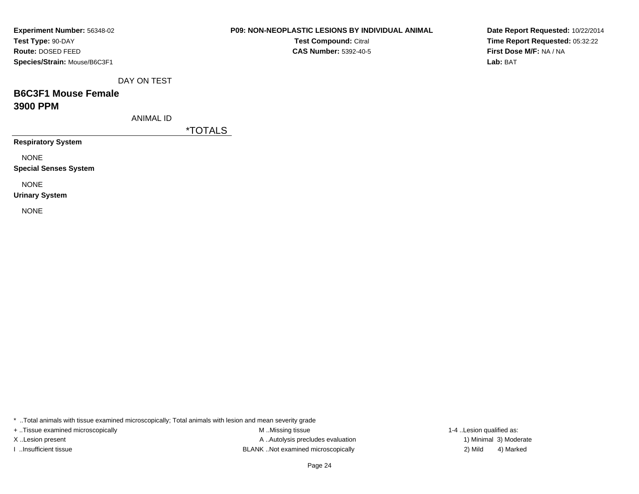| <b>Experiment Number: 56348-02</b> |
|------------------------------------|
| Test Type: 90-DAY                  |
| <b>Route: DOSED FEED</b>           |
| Species/Strain: Mouse/B6C3F1       |

**Test Compound:** Citral **CAS Number:** 5392-40-5

**Date Report Requested:** 10/22/2014**Time Report Requested:** 05:32:22**First Dose M/F:** NA / NA**Lab:** BAT

DAY ON TEST

# **B6C3F1 Mouse Female3900 PPM**

ANIMAL ID

\*TOTALS

**Respiratory System**

NONE

**Special Senses System**

NONE

**Urinary System**

NONE

\* ..Total animals with tissue examined microscopically; Total animals with lesion and mean severity grade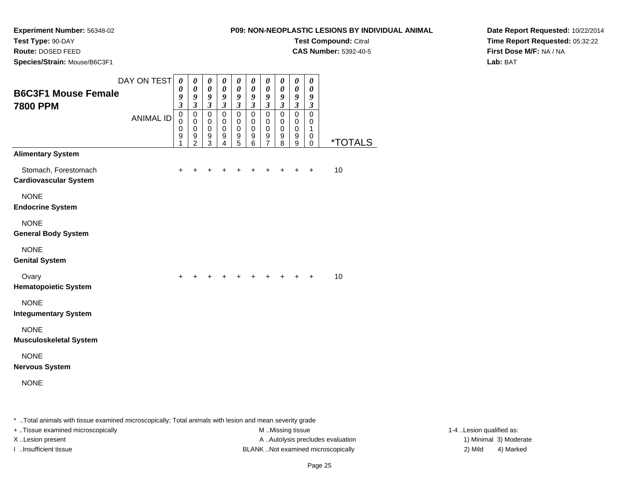**Experiment Number:** 56348-02

**Test Type:** 90-DAY

**Route:** DOSED FEED

**Species/Strain:** Mouse/B6C3F1

| )N-NEOPLASTIC LESIONS BY INDIVIDUAL ANIMA |  |
|-------------------------------------------|--|
| <b>Test Compound: Citral</b>              |  |
| <b>CAS Number: 5392-40-5</b>              |  |
|                                           |  |

**Date Report Requested:** 10/22/2014**Time Report Requested:** 05:32:22**First Dose M/F:** NA / NA**Lab:** BAT

| <b>B6C3F1 Mouse Female</b><br><b>7800 PPM</b>        | DAY ON TEST      | $\boldsymbol{\theta}$<br>0<br>9<br>$\overline{\mathbf{3}}$ | $\pmb{\theta}$<br>$\boldsymbol{\theta}$<br>9<br>$\overline{\mathbf{3}}$ | $\boldsymbol{\theta}$<br>$\boldsymbol{\theta}$<br>9<br>$\overline{\mathbf{3}}$ | 0<br>0<br>9<br>$\overline{\mathbf{3}}$                    | 0<br>$\boldsymbol{\theta}$<br>9<br>$\mathfrak{z}$                 | 0<br>$\boldsymbol{\theta}$<br>9<br>$\mathfrak{z}$ | 0<br>$\boldsymbol{\theta}$<br>9<br>$\mathfrak{z}$              | 0<br>$\boldsymbol{\theta}$<br>9<br>$\mathfrak{z}$           | $\boldsymbol{\theta}$<br>$\boldsymbol{\theta}$<br>9<br>$\overline{\mathbf{3}}$ | 0<br>0<br>9<br>$\mathfrak{z}$             |                       |
|------------------------------------------------------|------------------|------------------------------------------------------------|-------------------------------------------------------------------------|--------------------------------------------------------------------------------|-----------------------------------------------------------|-------------------------------------------------------------------|---------------------------------------------------|----------------------------------------------------------------|-------------------------------------------------------------|--------------------------------------------------------------------------------|-------------------------------------------|-----------------------|
|                                                      | <b>ANIMAL ID</b> | $\pmb{0}$<br>$\mathbf 0$<br>0<br>9<br>1                    | $\pmb{0}$<br>$\mathbf 0$<br>$\mathbf 0$<br>9<br>$\overline{2}$          | $\mathbf 0$<br>0<br>$\mathbf 0$<br>9<br>3                                      | $\overline{0}$<br>0<br>$\mathbf 0$<br>9<br>$\overline{4}$ | $\overline{0}$<br>$\pmb{0}$<br>$\mathbf 0$<br>9<br>$\overline{5}$ | $\mathsf 0$<br>$\pmb{0}$<br>$\mathbf 0$<br>9<br>6 | $\mathbf 0$<br>$\pmb{0}$<br>$\mathbf 0$<br>9<br>$\overline{7}$ | $\mathbf 0$<br>$\mathbf 0$<br>$\pmb{0}$<br>$\mathsf g$<br>8 | $\mathbf 0$<br>$\mathbf 0$<br>$\mathbf 0$<br>9<br>9                            | $\mathbf 0$<br>0<br>1<br>0<br>$\mathbf 0$ | <i><b>*TOTALS</b></i> |
| <b>Alimentary System</b>                             |                  |                                                            |                                                                         |                                                                                |                                                           |                                                                   |                                                   |                                                                |                                                             |                                                                                |                                           |                       |
| Stomach, Forestomach<br><b>Cardiovascular System</b> |                  | +                                                          |                                                                         |                                                                                |                                                           |                                                                   | +                                                 | +                                                              | +                                                           | $\ddot{}$                                                                      | $\ddot{}$                                 | 10                    |
| <b>NONE</b><br><b>Endocrine System</b>               |                  |                                                            |                                                                         |                                                                                |                                                           |                                                                   |                                                   |                                                                |                                                             |                                                                                |                                           |                       |
| <b>NONE</b><br><b>General Body System</b>            |                  |                                                            |                                                                         |                                                                                |                                                           |                                                                   |                                                   |                                                                |                                                             |                                                                                |                                           |                       |
| <b>NONE</b><br><b>Genital System</b>                 |                  |                                                            |                                                                         |                                                                                |                                                           |                                                                   |                                                   |                                                                |                                                             |                                                                                |                                           |                       |
| Ovary<br><b>Hematopoietic System</b>                 |                  |                                                            |                                                                         |                                                                                |                                                           |                                                                   |                                                   |                                                                |                                                             | +                                                                              | $\ddot{}$                                 | 10                    |
| <b>NONE</b><br><b>Integumentary System</b>           |                  |                                                            |                                                                         |                                                                                |                                                           |                                                                   |                                                   |                                                                |                                                             |                                                                                |                                           |                       |
| <b>NONE</b><br><b>Musculoskeletal System</b>         |                  |                                                            |                                                                         |                                                                                |                                                           |                                                                   |                                                   |                                                                |                                                             |                                                                                |                                           |                       |
| <b>NONE</b><br><b>Nervous System</b>                 |                  |                                                            |                                                                         |                                                                                |                                                           |                                                                   |                                                   |                                                                |                                                             |                                                                                |                                           |                       |
| <b>NONE</b>                                          |                  |                                                            |                                                                         |                                                                                |                                                           |                                                                   |                                                   |                                                                |                                                             |                                                                                |                                           |                       |

\* ..Total animals with tissue examined microscopically; Total animals with lesion and mean severity grade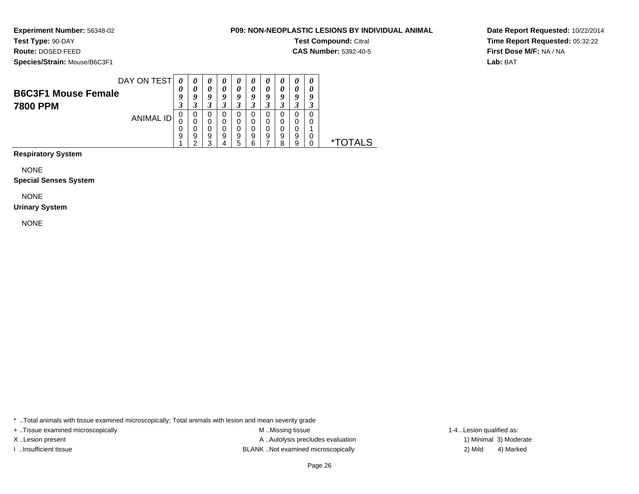**Experiment Number:** 56348-02

## **Test Type:** 90-DAY

**Route:** DOSED FEED

**Species/Strain:** Mouse/B6C3F1

**Test Compound:** Citral

**CAS Number:** 5392-40-5

**Date Report Requested:** 10/22/2014**Time Report Requested:** 05:32:22**First Dose M/F:** NA / NA**Lab:** BAT

| DAY ON TEST<br>0<br>0<br>0<br>$\boldsymbol{\theta}$<br>$\boldsymbol{\theta}$<br>$\boldsymbol{\theta}$<br>$\boldsymbol{\theta}$<br>U<br>U<br>U<br>0<br>0<br>0<br>0<br>0<br>U<br><b>B6C3F1 Mouse Female</b><br>Q<br>Q<br>Q<br>o<br>q<br>a<br>a<br>a<br>a<br>7800 PPM<br>0<br>0<br>0<br>O<br>O<br>O<br>ANIMAL ID |   |   |   |   |   |   |               |
|---------------------------------------------------------------------------------------------------------------------------------------------------------------------------------------------------------------------------------------------------------------------------------------------------------------|---|---|---|---|---|---|---------------|
|                                                                                                                                                                                                                                                                                                               |   |   |   |   |   |   |               |
|                                                                                                                                                                                                                                                                                                               |   |   |   |   |   |   |               |
|                                                                                                                                                                                                                                                                                                               |   |   |   |   |   |   |               |
|                                                                                                                                                                                                                                                                                                               |   |   |   |   |   |   |               |
|                                                                                                                                                                                                                                                                                                               |   |   |   |   |   |   |               |
|                                                                                                                                                                                                                                                                                                               | 0 | 0 | 0 | 0 | 0 | 0 |               |
| 0<br>0<br>0<br>0<br>0<br>0<br>0<br>0                                                                                                                                                                                                                                                                          |   |   |   |   |   |   |               |
| 9<br>9<br>9<br>9<br>9<br>9<br>9<br>9<br>9<br>0<br>∗⊤                                                                                                                                                                                                                                                          |   |   |   |   |   |   |               |
| າ<br>ີ<br>9<br>8<br>5<br>h<br>$\prime$                                                                                                                                                                                                                                                                        |   |   |   |   |   |   | <b>FOTALS</b> |

**Respiratory System**

NONE

### **Special Senses System**

NONE

### **Urinary System**

NONE

\* ..Total animals with tissue examined microscopically; Total animals with lesion and mean severity grade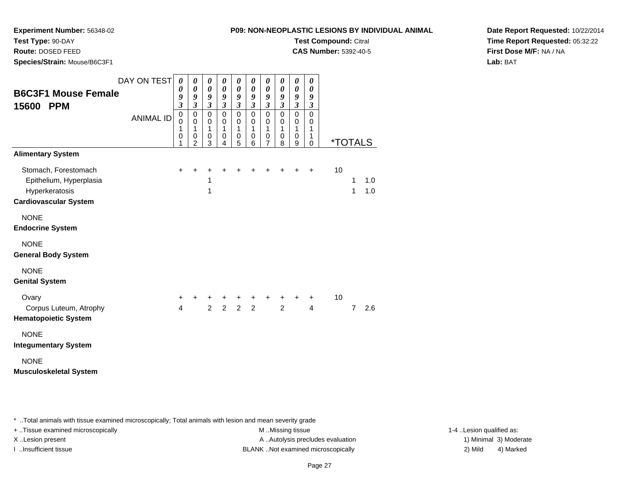**Experiment Number:** 56348-02

**Test Type:** 90-DAY

**Route:** DOSED FEED

**Species/Strain:** Mouse/B6C3F1

**Test Compound:** Citral

**CAS Number:** 5392-40-5

**Date Report Requested:** 10/22/2014**Time Report Requested:** 05:32:22**First Dose M/F:** NA / NA**Lab:** BAT

| <b>B6C3F1 Mouse Female</b><br>15600 PPM                                                           | DAY ON TEST<br><b>ANIMAL ID</b> | $\boldsymbol{\theta}$<br>0<br>9<br>$\overline{\mathbf{3}}$<br>$\pmb{0}$<br>$\mathbf 0$<br>1<br>0<br>1 | 0<br>0<br>9<br>$\mathfrak{z}$<br>$\pmb{0}$<br>0<br>1<br>$\mathbf 0$<br>2 | $\boldsymbol{\theta}$<br>$\boldsymbol{\theta}$<br>9<br>$\mathfrak{z}$<br>$\mathbf 0$<br>0<br>1<br>$\mathbf 0$<br>3 | 0<br>$\boldsymbol{\theta}$<br>9<br>$\mathfrak{z}$<br>$\mathbf 0$<br>0<br>1<br>$\pmb{0}$<br>4 | 0<br>$\boldsymbol{\theta}$<br>$\boldsymbol{g}$<br>$\mathfrak{z}$<br>$\mathbf 0$<br>0<br>1<br>$\pmb{0}$<br>$\overline{5}$ | 0<br>0<br>9<br>$\mathfrak{z}$<br>$\mathbf 0$<br>0<br>1<br>$\mathbf 0$<br>6 | 0<br>0<br>9<br>$\boldsymbol{\mathfrak{z}}$<br>$\mathbf 0$<br>0<br>$\mathbf{1}$<br>0<br>$\overline{7}$ | 0<br>0<br>9<br>$\mathfrak{z}$<br>$\mathbf 0$<br>0<br>1<br>$\mathbf 0$<br>8 | 0<br>0<br>9<br>$\boldsymbol{\beta}$<br>0<br>0<br>1<br>$\pmb{0}$<br>9 | 0<br>0<br>9<br>$\boldsymbol{\beta}$<br>$\mathbf 0$<br>0<br>1<br>1<br>$\mathbf 0$ |    |                | *TOTALS    |
|---------------------------------------------------------------------------------------------------|---------------------------------|-------------------------------------------------------------------------------------------------------|--------------------------------------------------------------------------|--------------------------------------------------------------------------------------------------------------------|----------------------------------------------------------------------------------------------|--------------------------------------------------------------------------------------------------------------------------|----------------------------------------------------------------------------|-------------------------------------------------------------------------------------------------------|----------------------------------------------------------------------------|----------------------------------------------------------------------|----------------------------------------------------------------------------------|----|----------------|------------|
| <b>Alimentary System</b>                                                                          |                                 |                                                                                                       |                                                                          |                                                                                                                    |                                                                                              |                                                                                                                          |                                                                            |                                                                                                       |                                                                            |                                                                      |                                                                                  |    |                |            |
| Stomach, Forestomach<br>Epithelium, Hyperplasia<br>Hyperkeratosis<br><b>Cardiovascular System</b> |                                 | +                                                                                                     | +                                                                        | +<br>1<br>1                                                                                                        |                                                                                              |                                                                                                                          |                                                                            |                                                                                                       |                                                                            |                                                                      | +                                                                                | 10 | 1<br>1         | 1.0<br>1.0 |
| <b>NONE</b><br><b>Endocrine System</b>                                                            |                                 |                                                                                                       |                                                                          |                                                                                                                    |                                                                                              |                                                                                                                          |                                                                            |                                                                                                       |                                                                            |                                                                      |                                                                                  |    |                |            |
| <b>NONE</b><br><b>General Body System</b>                                                         |                                 |                                                                                                       |                                                                          |                                                                                                                    |                                                                                              |                                                                                                                          |                                                                            |                                                                                                       |                                                                            |                                                                      |                                                                                  |    |                |            |
| <b>NONE</b><br><b>Genital System</b>                                                              |                                 |                                                                                                       |                                                                          |                                                                                                                    |                                                                                              |                                                                                                                          |                                                                            |                                                                                                       |                                                                            |                                                                      |                                                                                  |    |                |            |
| Ovary<br>Corpus Luteum, Atrophy<br><b>Hematopoietic System</b>                                    |                                 | +<br>4                                                                                                | +                                                                        | +<br>$\overline{2}$                                                                                                | +<br>$\overline{2}$                                                                          | +<br>$\mathfrak{p}$                                                                                                      | +<br>$\overline{2}$                                                        | +                                                                                                     | +<br>$\overline{2}$                                                        | +                                                                    | $\ddot{}$<br>$\overline{4}$                                                      | 10 | $\overline{7}$ | 2.6        |
| <b>NONE</b><br><b>Integumentary System</b>                                                        |                                 |                                                                                                       |                                                                          |                                                                                                                    |                                                                                              |                                                                                                                          |                                                                            |                                                                                                       |                                                                            |                                                                      |                                                                                  |    |                |            |
| <b>NONE</b><br><b>Musculoskeletal System</b>                                                      |                                 |                                                                                                       |                                                                          |                                                                                                                    |                                                                                              |                                                                                                                          |                                                                            |                                                                                                       |                                                                            |                                                                      |                                                                                  |    |                |            |

\* ..Total animals with tissue examined microscopically; Total animals with lesion and mean severity grade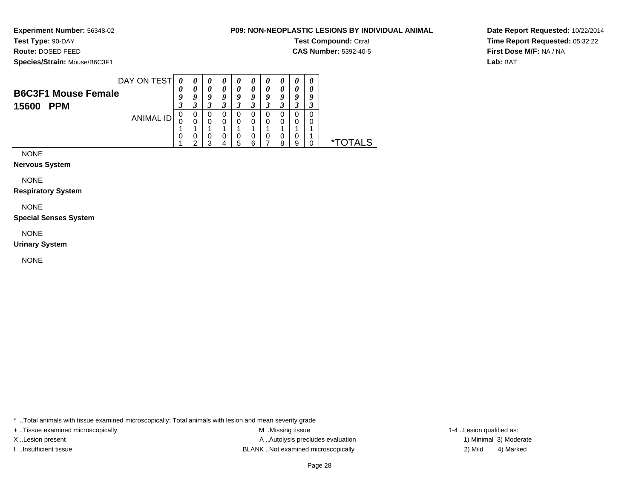**Experiment Number:** 56348-02

**Test Type:** 90-DAY

**Route:** DOSED FEED

**Species/Strain:** Mouse/B6C3F1

**Test Compound:** Citral

**CAS Number:** 5392-40-5

**Date Report Requested:** 10/22/2014**Time Report Requested:** 05:32:22**First Dose M/F:** NA / NA**Lab:** BAT

| DAY ON TEST                | $\boldsymbol{\theta}$ | $\boldsymbol{\theta}$ | $\boldsymbol{\theta}$ |    | $\boldsymbol{\theta}$ |     | U       | U  | $\theta$ | $\boldsymbol{\theta}$ |              |
|----------------------------|-----------------------|-----------------------|-----------------------|----|-----------------------|-----|---------|----|----------|-----------------------|--------------|
| <b>B6C3F1 Mouse Female</b> | U                     |                       |                       |    |                       |     |         |    | 0        |                       |              |
|                            |                       | a                     | Q                     | c. | Q                     |     |         |    |          |                       |              |
| <b>PPM</b><br>15600        | J.                    |                       |                       |    |                       |     | $\cdot$ |    | J.       |                       |              |
| ANIMAL ID                  | υ                     | 0                     | 0                     | U  | U                     |     |         |    |          |                       |              |
|                            | ι.                    | 0                     | 0                     | 0  | 0                     |     | 0       |    | 0        |                       |              |
|                            |                       |                       |                       |    |                       |     |         |    |          |                       |              |
|                            | U                     | U                     | 0                     | O  | U                     | U   | U       | υ  | 0        |                       |              |
|                            |                       | ◠                     | ว                     |    | 5                     | ี่ค |         | ິດ | 9        |                       | ∗⊤<br>ITAL S |
|                            |                       |                       |                       |    |                       |     |         |    |          |                       |              |

NONE

**Nervous System**

NONE

**Respiratory System**

NONE

**Special Senses System**

NONE

**Urinary System**

NONE

\* ..Total animals with tissue examined microscopically; Total animals with lesion and mean severity grade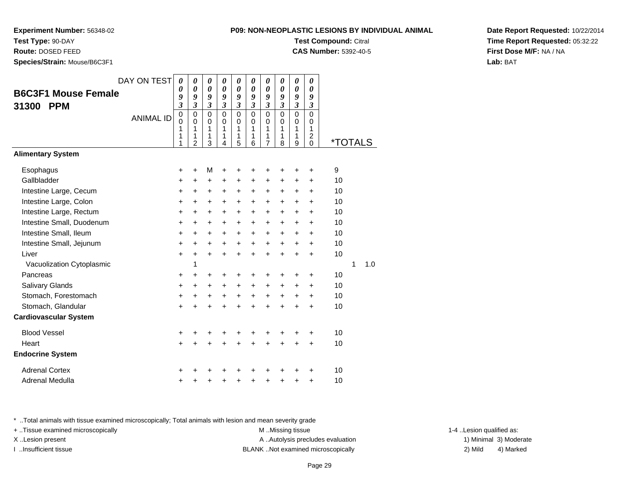**Experiment Number:** 56348-02

**Test Type:** 90-DAY

**Route:** DOSED FEED

**Species/Strain:** Mouse/B6C3F1

| NON-NEOPLASTIC LESIONS BY INDIVIDUAL ANIMA |
|--------------------------------------------|
| <b>Test Compound: Citral</b>               |

**CAS Number:** 5392-40-5

**Date Report Requested:** 10/22/2014**Time Report Requested:** 05:32:22**First Dose M/F:** NA / NA**Lab:** BAT

|                              | DAY ON TEST      | 0                          | 0                          | 0                          | 0                          | 0                       | 0                          | 0                           | 0                          | 0                          | 0                          |                       |   |     |
|------------------------------|------------------|----------------------------|----------------------------|----------------------------|----------------------------|-------------------------|----------------------------|-----------------------------|----------------------------|----------------------------|----------------------------|-----------------------|---|-----|
| <b>B6C3F1 Mouse Female</b>   |                  | 0<br>9                     | $\boldsymbol{\theta}$<br>9 | $\boldsymbol{\theta}$<br>9 | 0<br>9                     | 0<br>9                  | $\boldsymbol{\theta}$<br>9 | $\boldsymbol{\theta}$<br>9  | $\boldsymbol{\theta}$<br>9 | $\boldsymbol{\theta}$<br>9 | 0<br>9                     |                       |   |     |
| 31300<br><b>PPM</b>          |                  | $\mathfrak{z}$             | $\overline{\mathbf{3}}$    | $\mathfrak{z}$             | $\overline{\mathbf{3}}$    | $\overline{\mathbf{3}}$ | $\mathfrak{z}$             | $\boldsymbol{\mathfrak{z}}$ | $\mathfrak{z}$             | $\mathfrak{z}$             | $\mathfrak{z}$             |                       |   |     |
|                              | <b>ANIMAL ID</b> | $\mathbf 0$<br>$\mathbf 0$ | $\mathbf 0$<br>$\mathbf 0$ | $\mathbf 0$<br>$\mathbf 0$ | $\mathbf 0$<br>$\mathbf 0$ | 0<br>0                  | $\Omega$<br>$\mathbf 0$    | 0<br>$\mathbf 0$            | $\mathbf 0$<br>$\mathbf 0$ | $\mathbf 0$<br>$\mathbf 0$ | $\mathbf 0$<br>$\mathbf 0$ |                       |   |     |
|                              |                  | 1                          | 1                          | 1                          | 1                          | 1                       | 1                          | 1                           | 1                          | 1                          | $\mathbf{1}$               |                       |   |     |
|                              |                  | 1<br>1                     | 1<br>$\overline{2}$        | 1<br>3                     | 1<br>4                     | 1<br>5                  | 1<br>6                     | 1<br>$\overline{7}$         | 1<br>8                     | 1<br>9                     | $\overline{c}$<br>$\Omega$ | <i><b>*TOTALS</b></i> |   |     |
| <b>Alimentary System</b>     |                  |                            |                            |                            |                            |                         |                            |                             |                            |                            |                            |                       |   |     |
| Esophagus                    |                  | +                          | $\ddot{}$                  | M                          | +                          | +                       | ٠                          | ٠                           |                            |                            | ٠                          | 9                     |   |     |
| Gallbladder                  |                  | +                          | $\ddot{}$                  | +                          | +                          | +                       | +                          | +                           | +                          | +                          | +                          | 10                    |   |     |
| Intestine Large, Cecum       |                  | $\ddot{}$                  | +                          | $\ddot{}$                  | +                          | +                       | +                          | +                           | $\ddot{}$                  | +                          | $\pm$                      | 10                    |   |     |
| Intestine Large, Colon       |                  | $\ddot{}$                  | $\ddot{}$                  | $\ddot{}$                  | $\ddot{}$                  | $\ddot{}$               | $\ddot{}$                  | $\ddot{}$                   | $\ddot{}$                  | $\ddot{}$                  | $\ddot{}$                  | 10                    |   |     |
| Intestine Large, Rectum      |                  | $\ddot{}$                  | $\ddot{}$                  | $\ddot{}$                  | $\ddot{}$                  | $\ddot{}$               | $\ddot{}$                  | $\ddot{}$                   | $\ddot{}$                  | $\ddot{}$                  | $\pm$                      | 10                    |   |     |
| Intestine Small, Duodenum    |                  | +                          | $\ddot{}$                  | $\ddot{}$                  | $\ddot{}$                  | +                       | $\ddot{}$                  | $\ddot{}$                   | $\ddot{}$                  | +                          | $\pm$                      | 10                    |   |     |
| Intestine Small, Ileum       |                  | $\ddot{}$                  | +                          | $\ddot{}$                  | $\ddot{}$                  | $\pm$                   | $\ddot{}$                  | +                           | $\ddot{}$                  | $\ddot{}$                  | $\pm$                      | 10                    |   |     |
| Intestine Small, Jejunum     |                  | +                          | $\ddot{}$                  | $\ddot{}$                  | $\ddot{}$                  | $\ddot{}$               | $\ddot{}$                  | $\ddot{}$                   | $\ddot{}$                  | $\ddot{}$                  | +                          | 10                    |   |     |
| Liver                        |                  | $\ddot{}$                  | $\ddot{}$                  | $\ddot{}$                  | $\ddot{}$                  | $\ddot{}$               | $\ddot{}$                  | $+$                         | $\ddot{}$                  | $\ddot{}$                  | $\ddot{}$                  | 10                    |   |     |
| Vacuolization Cytoplasmic    |                  |                            | 1                          |                            |                            |                         |                            |                             |                            |                            |                            |                       | 1 | 1.0 |
| Pancreas                     |                  | +                          | +                          | +                          | +                          | +                       | +                          | +                           | +                          | +                          | +                          | 10                    |   |     |
| Salivary Glands              |                  | +                          | +                          | +                          | $\ddot{}$                  | $\ddot{}$               | $\ddot{}$                  | $\ddot{}$                   | $\ddot{}$                  | $\ddot{}$                  | $\pm$                      | 10                    |   |     |
| Stomach, Forestomach         |                  | +                          | +                          | +                          | +                          | $\ddot{}$               | $\ddot{}$                  | +                           | $\ddot{}$                  | +                          | $\pm$                      | 10                    |   |     |
| Stomach, Glandular           |                  | $\ddot{}$                  | $\ddot{}$                  | $\ddot{}$                  | $\ddot{}$                  | $\ddot{}$               | $\ddot{}$                  | $\ddot{}$                   | $\ddot{}$                  | $\ddot{}$                  | $\ddot{}$                  | 10                    |   |     |
| <b>Cardiovascular System</b> |                  |                            |                            |                            |                            |                         |                            |                             |                            |                            |                            |                       |   |     |
| <b>Blood Vessel</b>          |                  | +                          | +                          | +                          |                            | +                       | +                          | +                           |                            |                            | +                          | 10                    |   |     |
| Heart                        |                  | $+$                        | $\ddot{}$                  | $\ddot{}$                  | $\ddot{}$                  | +                       | $\ddot{}$                  | $\ddot{}$                   | $\ddot{}$                  | $\ddot{}$                  | $\ddot{}$                  | 10                    |   |     |
| <b>Endocrine System</b>      |                  |                            |                            |                            |                            |                         |                            |                             |                            |                            |                            |                       |   |     |
| <b>Adrenal Cortex</b>        |                  | +                          |                            |                            |                            |                         |                            |                             |                            |                            | ٠                          | 10                    |   |     |
| Adrenal Medulla              |                  | $\pmb{+}$                  | +                          | +                          | +                          | +                       | +                          | +                           | +                          | +                          | +                          | 10                    |   |     |

\* ..Total animals with tissue examined microscopically; Total animals with lesion and mean severity grade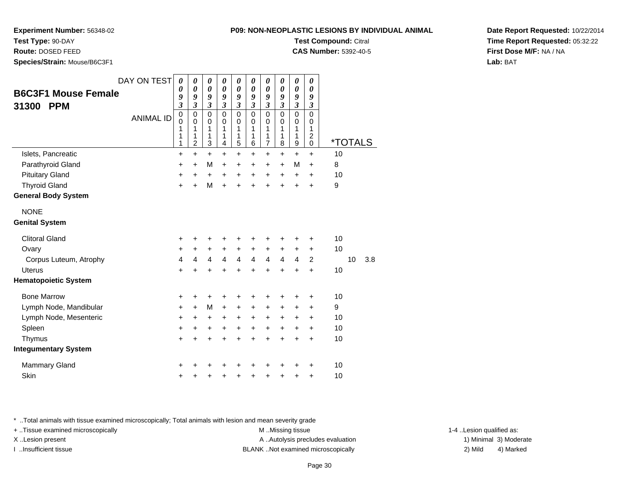**P09: NON-NEOPLASTIC LESIONS BY INDIVIDUAL ANIMALTest Compound:** Citral

**CAS Number:** 5392-40-5

**Experiment Number:** 56348-02

**Test Type:** 90-DAY

**Route:** DOSED FEED

**Species/Strain:** Mouse/B6C3F1

| <b>B6C3F1 Mouse Female</b><br>31300<br><b>PPM</b><br>Islets, Pancreatic | DAY ON TEST<br><b>ANIMAL ID</b> | 0<br>0<br>9<br>$\overline{\mathbf{3}}$<br>$\mathbf 0$<br>$\mathbf 0$<br>1<br>1<br>1<br>$\ddot{}$ | 0<br>$\boldsymbol{\theta}$<br>9<br>$\mathfrak{z}$<br>$\mathbf 0$<br>$\mathbf 0$<br>1<br>1<br>$\overline{c}$<br>$\ddot{}$ | 0<br>$\boldsymbol{\theta}$<br>9<br>$\mathfrak{z}$<br>$\mathbf 0$<br>$\mathbf 0$<br>1<br>1<br>3<br>$\ddot{}$ | $\boldsymbol{\theta}$<br>$\boldsymbol{\theta}$<br>9<br>$\mathfrak{z}$<br>$\mathbf 0$<br>0<br>1<br>1<br>4<br>$\ddot{}$ | 0<br>$\boldsymbol{\theta}$<br>9<br>$\boldsymbol{\mathfrak{z}}$<br>$\mathbf 0$<br>0<br>1<br>1<br>5<br>$\ddot{}$ | 0<br>0<br>9<br>$\boldsymbol{\beta}$<br>$\mathbf 0$<br>$\mathbf 0$<br>1<br>1<br>6<br>$\ddot{}$ | $\boldsymbol{\theta}$<br>$\boldsymbol{\theta}$<br>9<br>$\mathfrak{z}$<br>$\mathbf 0$<br>$\mathbf 0$<br>1<br>1<br>7<br>$\ddot{}$ | 0<br>$\boldsymbol{\theta}$<br>9<br>$\boldsymbol{\beta}$<br>$\mathbf 0$<br>$\mathbf 0$<br>1<br>1<br>8<br>$\ddot{}$ | $\boldsymbol{\theta}$<br>$\boldsymbol{\theta}$<br>9<br>$\boldsymbol{\beta}$<br>$\mathbf 0$<br>$\mathbf 0$<br>1<br>1<br>$\boldsymbol{9}$<br>$\ddot{}$ | 0<br>$\boldsymbol{\theta}$<br>9<br>$\mathfrak{z}$<br>$\mathbf 0$<br>$\mathbf 0$<br>1<br>$\boldsymbol{2}$<br>$\pmb{0}$<br>$\ddot{}$ | *TOTALS<br>10 |     |
|-------------------------------------------------------------------------|---------------------------------|--------------------------------------------------------------------------------------------------|--------------------------------------------------------------------------------------------------------------------------|-------------------------------------------------------------------------------------------------------------|-----------------------------------------------------------------------------------------------------------------------|----------------------------------------------------------------------------------------------------------------|-----------------------------------------------------------------------------------------------|---------------------------------------------------------------------------------------------------------------------------------|-------------------------------------------------------------------------------------------------------------------|------------------------------------------------------------------------------------------------------------------------------------------------------|------------------------------------------------------------------------------------------------------------------------------------|---------------|-----|
| Parathyroid Gland                                                       |                                 | +                                                                                                | +                                                                                                                        | M                                                                                                           | +                                                                                                                     | +                                                                                                              | +                                                                                             | +                                                                                                                               | $\ddot{}$                                                                                                         | M                                                                                                                                                    | $\ddot{}$                                                                                                                          | 8             |     |
| <b>Pituitary Gland</b>                                                  |                                 | +                                                                                                | +                                                                                                                        | +                                                                                                           | +                                                                                                                     | +                                                                                                              | +                                                                                             | +                                                                                                                               | +                                                                                                                 | +                                                                                                                                                    | +                                                                                                                                  | 10            |     |
| <b>Thyroid Gland</b>                                                    |                                 | $\ddot{}$                                                                                        | $\ddot{}$                                                                                                                | M                                                                                                           | $\ddot{}$                                                                                                             | +                                                                                                              | $\ddot{}$                                                                                     | $\ddot{}$                                                                                                                       | $\ddot{}$                                                                                                         | $\ddot{}$                                                                                                                                            | $\ddot{}$                                                                                                                          | 9             |     |
| <b>General Body System</b>                                              |                                 |                                                                                                  |                                                                                                                          |                                                                                                             |                                                                                                                       |                                                                                                                |                                                                                               |                                                                                                                                 |                                                                                                                   |                                                                                                                                                      |                                                                                                                                    |               |     |
| <b>NONE</b><br><b>Genital System</b>                                    |                                 |                                                                                                  |                                                                                                                          |                                                                                                             |                                                                                                                       |                                                                                                                |                                                                                               |                                                                                                                                 |                                                                                                                   |                                                                                                                                                      |                                                                                                                                    |               |     |
|                                                                         |                                 |                                                                                                  |                                                                                                                          |                                                                                                             |                                                                                                                       |                                                                                                                |                                                                                               |                                                                                                                                 |                                                                                                                   |                                                                                                                                                      |                                                                                                                                    |               |     |
| <b>Clitoral Gland</b>                                                   |                                 | +                                                                                                | +                                                                                                                        | +                                                                                                           | +                                                                                                                     | +                                                                                                              | +                                                                                             | +                                                                                                                               | +                                                                                                                 | +                                                                                                                                                    | +                                                                                                                                  | 10            |     |
| Ovary                                                                   |                                 | +                                                                                                | +                                                                                                                        | +                                                                                                           | $\ddot{}$                                                                                                             | +                                                                                                              | +                                                                                             | +                                                                                                                               | $\ddot{}$                                                                                                         | +                                                                                                                                                    | $\ddot{}$                                                                                                                          | 10            |     |
| Corpus Luteum, Atrophy                                                  |                                 | 4                                                                                                | 4                                                                                                                        | 4                                                                                                           | 4                                                                                                                     | 4                                                                                                              | $\overline{\mathbf{4}}$                                                                       | $\overline{\mathbf{4}}$                                                                                                         | $\overline{4}$                                                                                                    | 4                                                                                                                                                    | $\overline{c}$                                                                                                                     | 10            | 3.8 |
| <b>Uterus</b>                                                           |                                 | $\ddot{}$                                                                                        | Ŧ.                                                                                                                       | +                                                                                                           | $\ddot{}$                                                                                                             | ۰                                                                                                              | +                                                                                             | +                                                                                                                               | +                                                                                                                 |                                                                                                                                                      | $\ddot{}$                                                                                                                          | 10            |     |
| <b>Hematopoietic System</b>                                             |                                 |                                                                                                  |                                                                                                                          |                                                                                                             |                                                                                                                       |                                                                                                                |                                                                                               |                                                                                                                                 |                                                                                                                   |                                                                                                                                                      |                                                                                                                                    |               |     |
| <b>Bone Marrow</b>                                                      |                                 | +                                                                                                | +                                                                                                                        | +                                                                                                           | +                                                                                                                     | +                                                                                                              | +                                                                                             | +                                                                                                                               | +                                                                                                                 | +                                                                                                                                                    | +                                                                                                                                  | 10            |     |
| Lymph Node, Mandibular                                                  |                                 | $\ddot{}$                                                                                        | $\ddot{}$                                                                                                                | M                                                                                                           | $\ddot{}$                                                                                                             | +                                                                                                              | $\ddot{}$                                                                                     | $\ddot{}$                                                                                                                       | $\ddot{}$                                                                                                         | +                                                                                                                                                    | +                                                                                                                                  | 9             |     |
| Lymph Node, Mesenteric                                                  |                                 | +                                                                                                | +                                                                                                                        | +                                                                                                           | $\ddot{}$                                                                                                             | +                                                                                                              | +                                                                                             | +                                                                                                                               | $\ddot{}$                                                                                                         | +                                                                                                                                                    | +                                                                                                                                  | 10            |     |
| Spleen                                                                  |                                 | $\ddot{}$                                                                                        | +                                                                                                                        | +                                                                                                           | $\ddot{}$                                                                                                             | $\ddot{}$                                                                                                      | $\ddot{}$                                                                                     | $\ddot{}$                                                                                                                       | $\ddot{}$                                                                                                         | +                                                                                                                                                    | $\ddot{}$                                                                                                                          | 10            |     |
| Thymus                                                                  |                                 | $\ddot{}$                                                                                        | $\ddot{}$                                                                                                                | $\ddot{}$                                                                                                   | $\ddot{}$                                                                                                             | $\ddot{}$                                                                                                      | $\ddot{}$                                                                                     | $\ddot{}$                                                                                                                       | $\ddot{}$                                                                                                         | $\ddot{}$                                                                                                                                            | $\ddot{}$                                                                                                                          | 10            |     |
| <b>Integumentary System</b>                                             |                                 |                                                                                                  |                                                                                                                          |                                                                                                             |                                                                                                                       |                                                                                                                |                                                                                               |                                                                                                                                 |                                                                                                                   |                                                                                                                                                      |                                                                                                                                    |               |     |
| <b>Mammary Gland</b>                                                    |                                 | +                                                                                                |                                                                                                                          |                                                                                                             |                                                                                                                       | +                                                                                                              | +                                                                                             |                                                                                                                                 |                                                                                                                   |                                                                                                                                                      | +                                                                                                                                  | 10            |     |
| Skin                                                                    |                                 | +                                                                                                | +                                                                                                                        | +                                                                                                           | +                                                                                                                     | +                                                                                                              | +                                                                                             | +                                                                                                                               | +                                                                                                                 | +                                                                                                                                                    | +                                                                                                                                  | 10            |     |

\* ..Total animals with tissue examined microscopically; Total animals with lesion and mean severity grade

+ ..Tissue examined microscopically examined microscopically examined as:  $M$  ..Missing tissue 1-4 ..Lesion qualified as: X..Lesion present **A ..Autolysis precludes evaluation** A ..Autolysis precludes evaluation 1) Minimal 3) Moderate

I ..Insufficient tissue BLANK ..Not examined microscopically 2) Mild 4) Marked

**Date Report Requested:** 10/22/2014**Time Report Requested:** 05:32:22**First Dose M/F:** NA / NA**Lab:** BAT